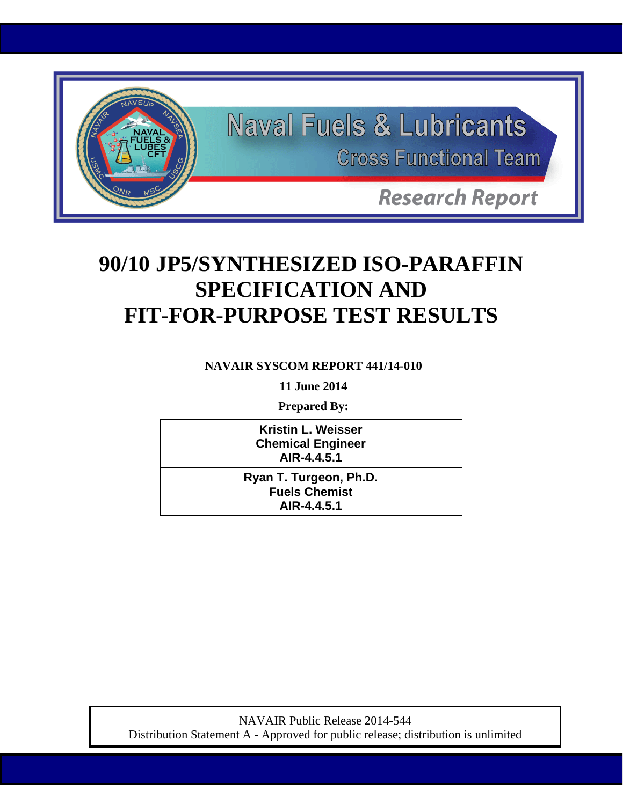

# **90/10 JP5/SYNTHESIZED ISO-PARAFFIN SPECIFICATION AND FIT-FOR-PURPOSE TEST RESULTS**

**NAVAIR SYSCOM REPORT 441/14-010**

**11 June 2014**

**Prepared By:**

**Kristin L. Weisser Chemical Engineer AIR-4.4.5.1**

**Ryan T. Turgeon, Ph.D. Fuels Chemist AIR-4.4.5.1**

NAVAIR Public Release 2014-544 Distribution Statement A - Approved for public release; distribution is unlimited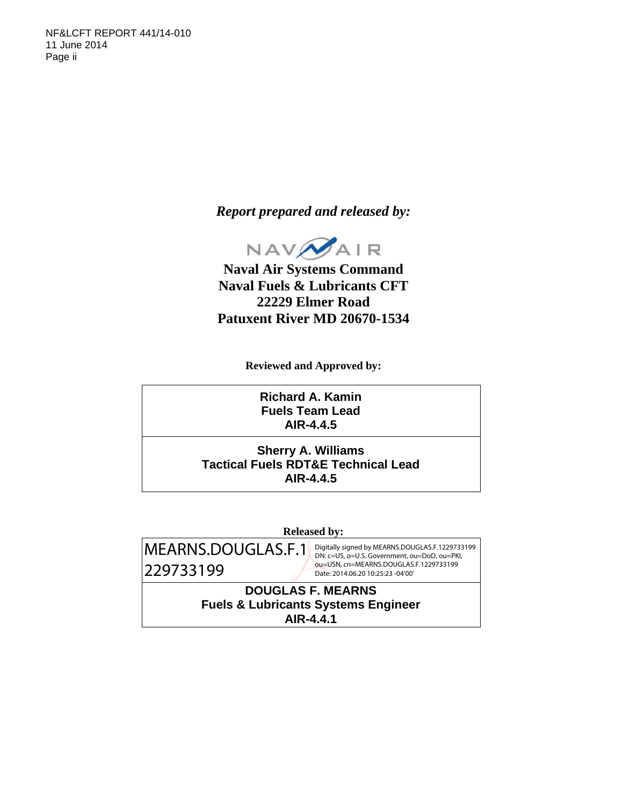NF&LCFT REPORT 441/14-010 11 June 2014 Page ii

*Report prepared and released by:*



**Naval Air Systems Command Naval Fuels & Lubricants CFT 22229 Elmer Road Patuxent River MD 20670-1534**

**Reviewed and Approved by:**

**Richard A. Kamin Fuels Team Lead AIR-4.4.5**

**Sherry A. Williams Tactical Fuels RDT&E Technical Lead AIR-4.4.5**

**Released by: DOUGLAS F. MEARNS** MEARNS.DOUGLAS.F.1 229733199 Digitally signed by MEARNS.DOUGLAS.F.1229733199 DN: c=US, o=U.S. Government, ou=DoD, ou=PKI, ou=USN, cn=MEARNS.DOUGLAS.F.1229733199 Date: 2014.06.20 10:25:23 -04'00'

**Fuels & Lubricants Systems Engineer AIR-4.4.1**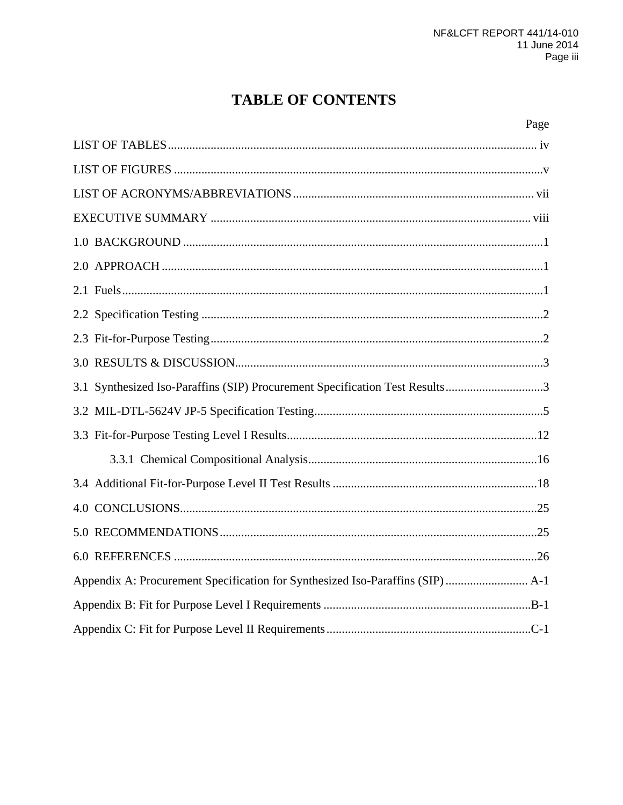## **TABLE OF CONTENTS**

|                                                                             | Page |
|-----------------------------------------------------------------------------|------|
|                                                                             |      |
|                                                                             |      |
|                                                                             |      |
|                                                                             |      |
|                                                                             |      |
|                                                                             |      |
|                                                                             |      |
|                                                                             |      |
|                                                                             |      |
|                                                                             |      |
| 3.1 Synthesized Iso-Paraffins (SIP) Procurement Specification Test Results3 |      |
|                                                                             |      |
|                                                                             |      |
|                                                                             |      |
|                                                                             |      |
|                                                                             |      |
|                                                                             |      |
|                                                                             |      |
|                                                                             |      |
|                                                                             |      |
|                                                                             |      |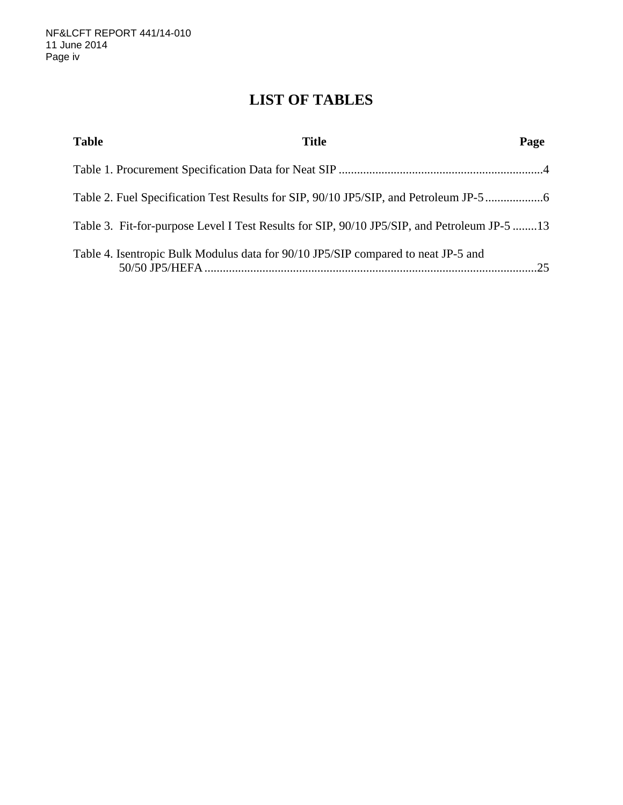## **LIST OF TABLES**

| <b>Table</b>                                                                                | <b>Title</b> | Page |
|---------------------------------------------------------------------------------------------|--------------|------|
|                                                                                             |              |      |
|                                                                                             |              |      |
| Table 3. Fit-for-purpose Level I Test Results for SIP, 90/10 JP5/SIP, and Petroleum JP-5 13 |              |      |
| Table 4. Isentropic Bulk Modulus data for 90/10 JP5/SIP compared to neat JP-5 and           |              | 25   |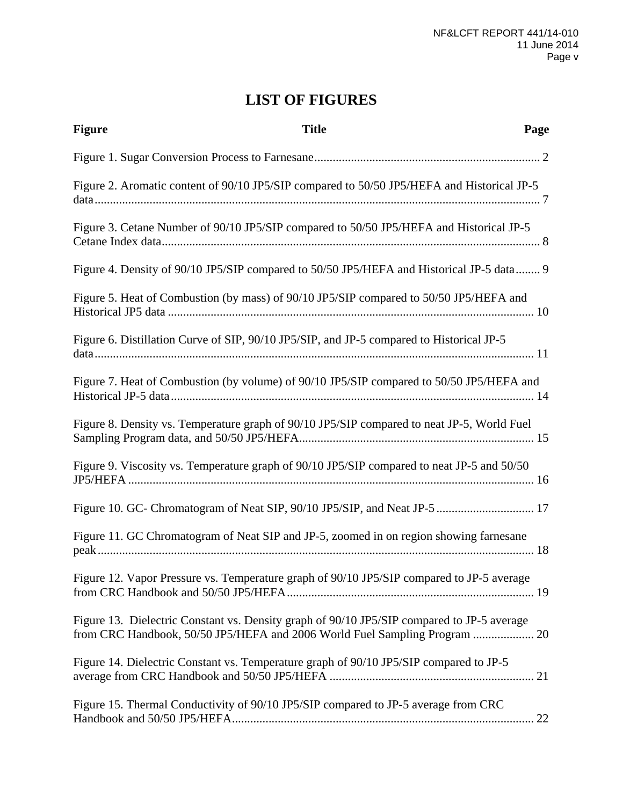## **LIST OF FIGURES**

| <b>Figure</b> | <b>Title</b>                                                                                                                                                             | Page |
|---------------|--------------------------------------------------------------------------------------------------------------------------------------------------------------------------|------|
|               |                                                                                                                                                                          |      |
|               | Figure 2. Aromatic content of 90/10 JP5/SIP compared to 50/50 JP5/HEFA and Historical JP-5                                                                               |      |
|               | Figure 3. Cetane Number of 90/10 JP5/SIP compared to 50/50 JP5/HEFA and Historical JP-5                                                                                  |      |
|               | Figure 4. Density of 90/10 JP5/SIP compared to 50/50 JP5/HEFA and Historical JP-5 data 9                                                                                 |      |
|               | Figure 5. Heat of Combustion (by mass) of 90/10 JP5/SIP compared to 50/50 JP5/HEFA and                                                                                   |      |
|               | Figure 6. Distillation Curve of SIP, 90/10 JP5/SIP, and JP-5 compared to Historical JP-5                                                                                 |      |
|               | Figure 7. Heat of Combustion (by volume) of 90/10 JP5/SIP compared to 50/50 JP5/HEFA and                                                                                 |      |
|               | Figure 8. Density vs. Temperature graph of 90/10 JP5/SIP compared to neat JP-5, World Fuel                                                                               |      |
|               | Figure 9. Viscosity vs. Temperature graph of 90/10 JP5/SIP compared to neat JP-5 and 50/50                                                                               |      |
|               | Figure 10. GC- Chromatogram of Neat SIP, 90/10 JP5/SIP, and Neat JP-5  17                                                                                                |      |
|               | Figure 11. GC Chromatogram of Neat SIP and JP-5, zoomed in on region showing farnesane                                                                                   |      |
|               | Figure 12. Vapor Pressure vs. Temperature graph of 90/10 JP5/SIP compared to JP-5 average                                                                                |      |
|               | Figure 13. Dielectric Constant vs. Density graph of 90/10 JP5/SIP compared to JP-5 average<br>from CRC Handbook, 50/50 JP5/HEFA and 2006 World Fuel Sampling Program  20 |      |
|               | Figure 14. Dielectric Constant vs. Temperature graph of 90/10 JP5/SIP compared to JP-5                                                                                   |      |
|               | Figure 15. Thermal Conductivity of 90/10 JP5/SIP compared to JP-5 average from CRC                                                                                       | 22   |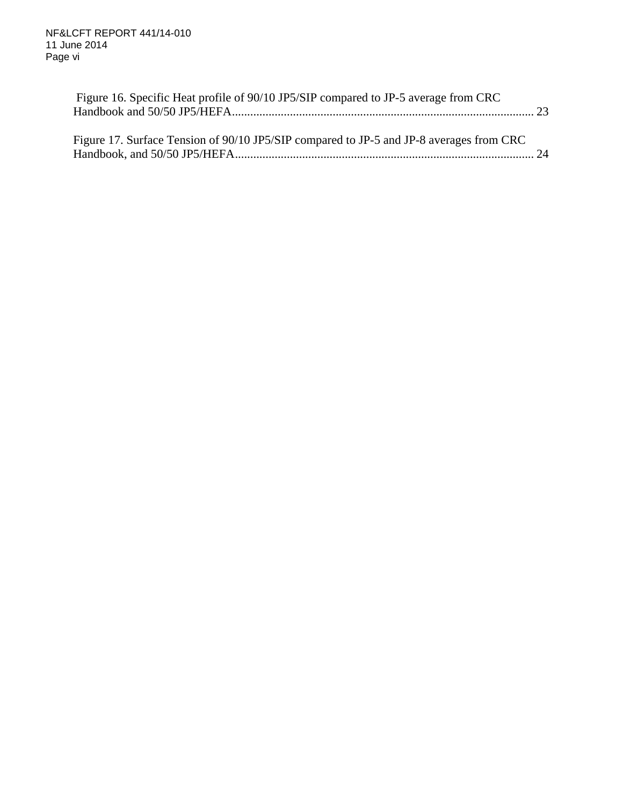| Figure 16. Specific Heat profile of 90/10 JP5/SIP compared to JP-5 average from CRC     |  |
|-----------------------------------------------------------------------------------------|--|
| Figure 17. Surface Tension of 90/10 JP5/SIP compared to JP-5 and JP-8 averages from CRC |  |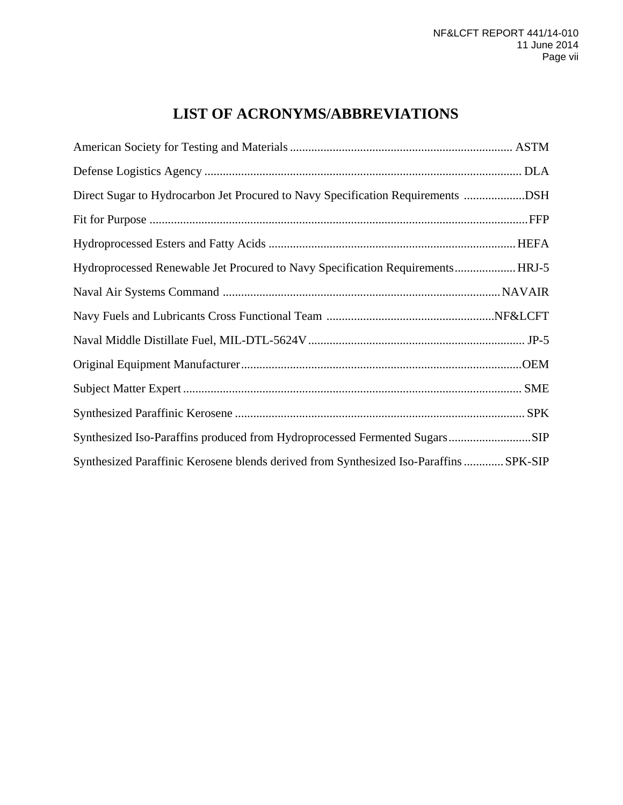## **LIST OF ACRONYMS/ABBREVIATIONS**

| Direct Sugar to Hydrocarbon Jet Procured to Navy Specification Requirements            |
|----------------------------------------------------------------------------------------|
|                                                                                        |
|                                                                                        |
| Hydroprocessed Renewable Jet Procured to Navy Specification Requirements HRJ-5         |
|                                                                                        |
|                                                                                        |
|                                                                                        |
|                                                                                        |
|                                                                                        |
|                                                                                        |
| Synthesized Iso-Paraffins produced from Hydroprocessed Fermented SugarsSIP             |
| Synthesized Paraffinic Kerosene blends derived from Synthesized Iso-Paraffins  SPK-SIP |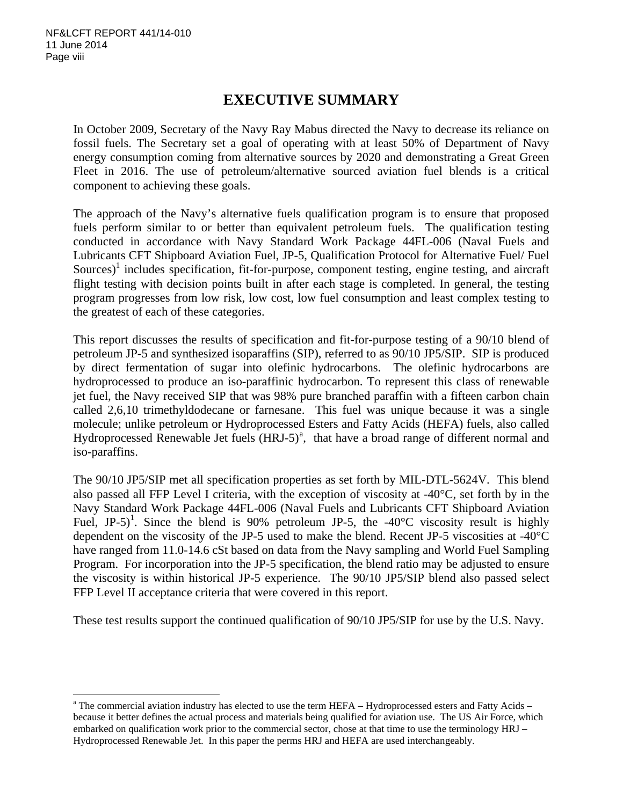## **EXECUTIVE SUMMARY**

In October 2009, Secretary of the Navy Ray Mabus directed the Navy to decrease its reliance on fossil fuels. The Secretary set a goal of operating with at least 50% of Department of Navy energy consumption coming from alternative sources by 2020 and demonstrating a Great Green Fleet in 2016. The use of petroleum/alternative sourced aviation fuel blends is a critical component to achieving these goals.

The approach of the Navy's alternative fuels qualification program is to ensure that proposed fuels perform similar to or better than equivalent petroleum fuels. The qualification testing conducted in accordance with Navy Standard Work Package 44FL-006 (Naval Fuels and Lubricants CFT Shipboard Aviation Fuel, JP-5, Qualification Protocol for Alternative Fuel/ Fuel Sources)<sup>1</sup> includes specification, fit-for-purpose, component testing, engine testing, and aircraft flight testing with decision points built in after each stage is completed. In general, the testing program progresses from low risk, low cost, low fuel consumption and least complex testing to the greatest of each of these categories.

This report discusses the results of specification and fit-for-purpose testing of a 90/10 blend of petroleum JP-5 and synthesized isoparaffins (SIP), referred to as 90/10 JP5/SIP. SIP is produced by direct fermentation of sugar into olefinic hydrocarbons. The olefinic hydrocarbons are hydroprocessed to produce an iso-paraffinic hydrocarbon. To represent this class of renewable jet fuel, the Navy received SIP that was 98% pure branched paraffin with a fifteen carbon chain called 2,6,10 trimethyldodecane or farnesane. This fuel was unique because it was a single molecule; unlike petroleum or Hydroprocessed Esters and Fatty Acids (HEFA) fuels, also called Hydroprocessed Renew[a](#page-7-0)ble Jet fuels  $(HRI-5)^{a}$ , that have a broad range of different normal and iso-paraffins.

The 90/10 JP5/SIP met all specification properties as set forth by MIL-DTL-5624V. This blend also passed all FFP Level I criteria, with the exception of viscosity at -40°C, set forth by in the Navy Standard Work Package 44FL-006 (Naval Fuels and Lubricants CFT Shipboard Aviation Fuel, JP-5)<sup>1</sup>. Since the blend is 90% petroleum JP-5, the -40°C viscosity result is highly dependent on the viscosity of the JP-5 used to make the blend. Recent JP-5 viscosities at -40°C have ranged from 11.0-14.6 cSt based on data from the Navy sampling and World Fuel Sampling Program. For incorporation into the JP-5 specification, the blend ratio may be adjusted to ensure the viscosity is within historical JP-5 experience. The 90/10 JP5/SIP blend also passed select FFP Level II acceptance criteria that were covered in this report.

These test results support the continued qualification of 90/10 JP5/SIP for use by the U.S. Navy.

<span id="page-7-0"></span><sup>&</sup>lt;sup>a</sup> The commercial aviation industry has elected to use the term HEFA – Hydroprocessed esters and Fatty Acids – because it better defines the actual process and materials being qualified for aviation use. The US Air Force, which embarked on qualification work prior to the commercial sector, chose at that time to use the terminology HRJ – Hydroprocessed Renewable Jet. In this paper the perms HRJ and HEFA are used interchangeably.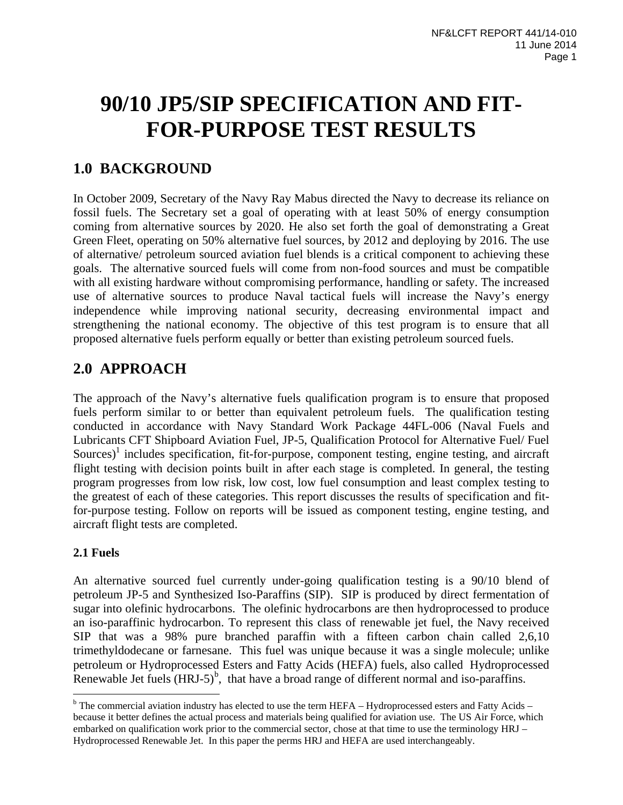# **90/10 JP5/SIP SPECIFICATION AND FIT-FOR-PURPOSE TEST RESULTS**

## **1.0 BACKGROUND**

In October 2009, Secretary of the Navy Ray Mabus directed the Navy to decrease its reliance on fossil fuels. The Secretary set a goal of operating with at least 50% of energy consumption coming from alternative sources by 2020. He also set forth the goal of demonstrating a Great Green Fleet, operating on 50% alternative fuel sources, by 2012 and deploying by 2016. The use of alternative/ petroleum sourced aviation fuel blends is a critical component to achieving these goals. The alternative sourced fuels will come from non-food sources and must be compatible with all existing hardware without compromising performance, handling or safety. The increased use of alternative sources to produce Naval tactical fuels will increase the Navy's energy independence while improving national security, decreasing environmental impact and strengthening the national economy. The objective of this test program is to ensure that all proposed alternative fuels perform equally or better than existing petroleum sourced fuels.

## **2.0 APPROACH**

The approach of the Navy's alternative fuels qualification program is to ensure that proposed fuels perform similar to or better than equivalent petroleum fuels. The qualification testing conducted in accordance with Navy Standard Work Package 44FL-006 (Naval Fuels and Lubricants CFT Shipboard Aviation Fuel, JP-5, Qualification Protocol for Alternative Fuel/ Fuel Sources)<sup>1</sup> includes specification, fit-for-purpose, component testing, engine testing, and aircraft flight testing with decision points built in after each stage is completed. In general, the testing program progresses from low risk, low cost, low fuel consumption and least complex testing to the greatest of each of these categories. This report discusses the results of specification and fitfor-purpose testing. Follow on reports will be issued as component testing, engine testing, and aircraft flight tests are completed.

#### **2.1 Fuels**

An alternative sourced fuel currently under-going qualification testing is a 90/10 blend of petroleum JP-5 and Synthesized Iso-Paraffins (SIP). SIP is produced by direct fermentation of sugar into olefinic hydrocarbons. The olefinic hydrocarbons are then hydroprocessed to produce an iso-paraffinic hydrocarbon. To represent this class of renewable jet fuel, the Navy received SIP that was a 98% pure branched paraffin with a fifteen carbon chain called 2,6,10 trimethyldodecane or farnesane. This fuel was unique because it was a single molecule; unlike petroleum or Hydroprocessed Esters and Fatty Acids (HEFA) fuels, also called Hydroprocessed Renewa[b](#page-8-0)le Jet fuels  $(HRI-5)^{b}$ , that have a broad range of different normal and iso-paraffins.

<span id="page-8-0"></span> $b$  The commercial aviation industry has elected to use the term HEFA – Hydroprocessed esters and Fatty Acids – because it better defines the actual process and materials being qualified for aviation use. The US Air Force, which embarked on qualification work prior to the commercial sector, chose at that time to use the terminology HRJ – Hydroprocessed Renewable Jet. In this paper the perms HRJ and HEFA are used interchangeably.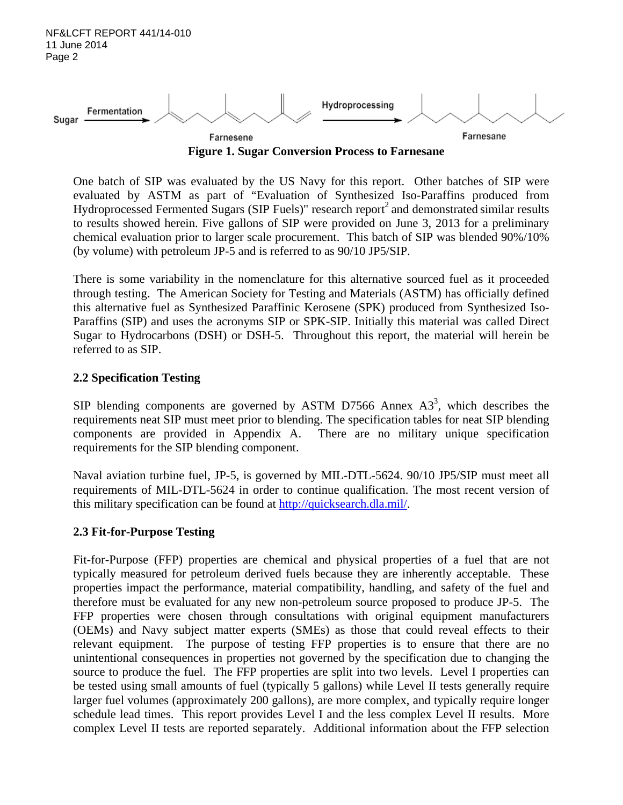NF&LCFT REPORT 441/14-010 11 June 2014 Page 2 Hydroprocessing Fermentation Sugar Farnesane Farnesene

**Figure 1. Sugar Conversion Process to Farnesane**

One batch of SIP was evaluated by the US Navy for this report. Other batches of SIP were evaluated by ASTM as part of "Evaluation of Synthesized Iso-Paraffins produced from Hydroprocessed Fermented Sugars (SIP Fuels)" research report<sup>2</sup> and demonstrated similar results to results showed herein. Five gallons of SIP were provided on June 3, 2013 for a preliminary chemical evaluation prior to larger scale procurement. This batch of SIP was blended 90%/10% (by volume) with petroleum JP-5 and is referred to as 90/10 JP5/SIP.

There is some variability in the nomenclature for this alternative sourced fuel as it proceeded through testing. The American Society for Testing and Materials (ASTM) has officially defined this alternative fuel as Synthesized Paraffinic Kerosene (SPK) produced from Synthesized Iso-Paraffins (SIP) and uses the acronyms SIP or SPK-SIP. Initially this material was called Direct Sugar to Hydrocarbons (DSH) or DSH-5. Throughout this report, the material will herein be referred to as SIP.

#### **2.2 Specification Testing**

SIP blending components are governed by ASTM D7566 Annex  $A3<sup>3</sup>$ , which describes the requirements neat SIP must meet prior to blending. The specification tables for neat SIP blending components are provided in Appendix A. There are no military unique specification requirements for the SIP blending component.

Naval aviation turbine fuel, JP-5, is governed by MIL-DTL-5624. 90/10 JP5/SIP must meet all requirements of MIL-DTL-5624 in order to continue qualification. The most recent version of this military specification can be found at [http://quicksearch.dla.mil/.](http://quicksearch.dla.mil/)

#### **2.3 Fit-for-Purpose Testing**

Fit-for-Purpose (FFP) properties are chemical and physical properties of a fuel that are not typically measured for petroleum derived fuels because they are inherently acceptable. These properties impact the performance, material compatibility, handling, and safety of the fuel and therefore must be evaluated for any new non-petroleum source proposed to produce JP-5. The FFP properties were chosen through consultations with original equipment manufacturers (OEMs) and Navy subject matter experts (SMEs) as those that could reveal effects to their relevant equipment. The purpose of testing FFP properties is to ensure that there are no unintentional consequences in properties not governed by the specification due to changing the source to produce the fuel. The FFP properties are split into two levels. Level I properties can be tested using small amounts of fuel (typically 5 gallons) while Level II tests generally require larger fuel volumes (approximately 200 gallons), are more complex, and typically require longer schedule lead times. This report provides Level I and the less complex Level II results. More complex Level II tests are reported separately. Additional information about the FFP selection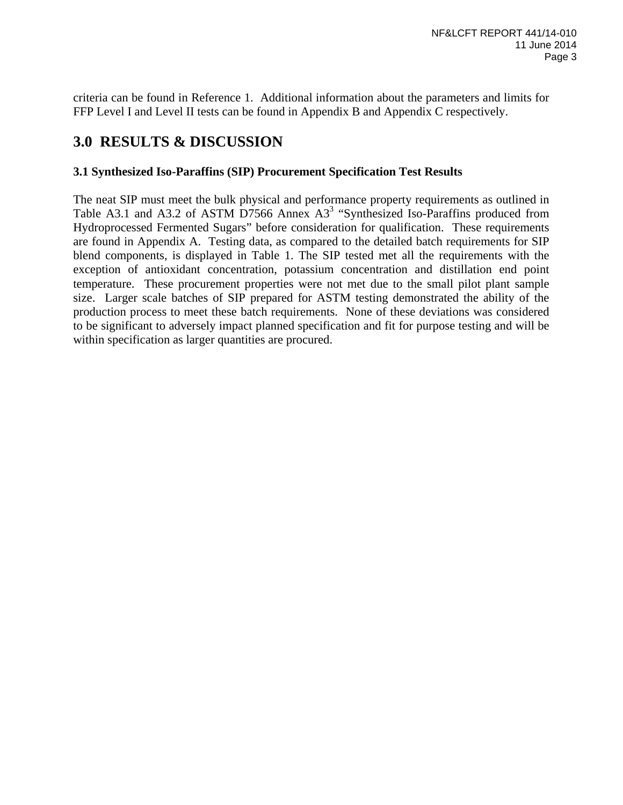criteria can be found in Reference 1. Additional information about the parameters and limits for FFP Level I and Level II tests can be found in Appendix B and Appendix C respectively.

## **3.0 RESULTS & DISCUSSION**

#### **3.1 Synthesized Iso-Paraffins (SIP) Procurement Specification Test Results**

The neat SIP must meet the bulk physical and performance property requirements as outlined in Table A3.1 and A3.2 of ASTM D7566 Annex  $A3<sup>3</sup>$  "Synthesized Iso-Paraffins produced from Hydroprocessed Fermented Sugars" before consideration for qualification. These requirements are found in Appendix A. Testing data, as compared to the detailed batch requirements for SIP blend components, is displayed in Table 1. The SIP tested met all the requirements with the exception of antioxidant concentration, potassium concentration and distillation end point temperature. These procurement properties were not met due to the small pilot plant sample size. Larger scale batches of SIP prepared for ASTM testing demonstrated the ability of the production process to meet these batch requirements. None of these deviations was considered to be significant to adversely impact planned specification and fit for purpose testing and will be within specification as larger quantities are procured.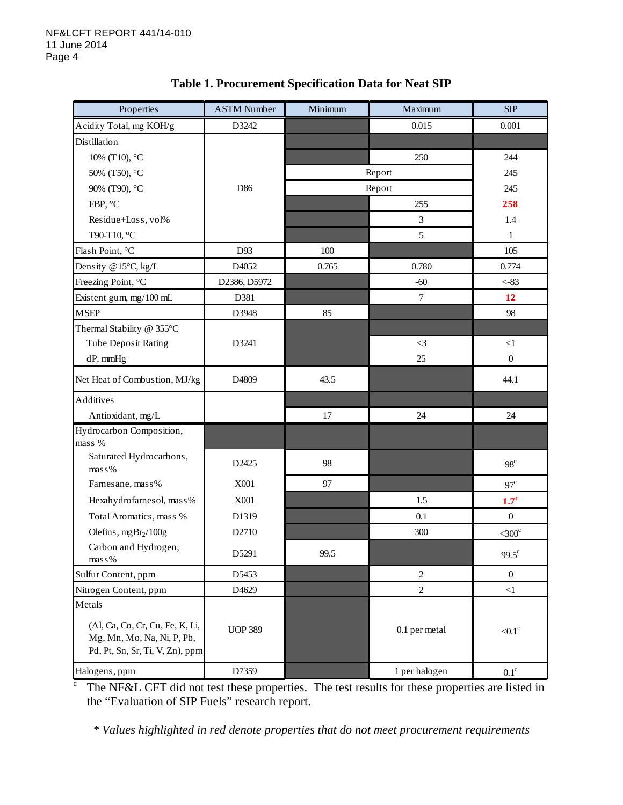<span id="page-11-0"></span>

| Properties                                                                                       | <b>ASTM Number</b> | Minimum | Maximum        | <b>SIP</b>            |
|--------------------------------------------------------------------------------------------------|--------------------|---------|----------------|-----------------------|
| Acidity Total, mg KOH/g                                                                          | D3242              |         | 0.015          | 0.001                 |
| Distillation                                                                                     |                    |         |                |                       |
| 10% (T10), °C                                                                                    |                    |         | 250            | 244                   |
| 50% (T50), °C                                                                                    |                    |         | Report         | 245                   |
| 90% (T90), °C                                                                                    | D86                |         | Report         | 245                   |
| FBP, °C                                                                                          |                    |         | 255            | 258                   |
| Residue+Loss, vol%                                                                               |                    |         | $\overline{3}$ | 1.4                   |
| T90-T10, °C                                                                                      |                    |         | 5              | $\mathbf{1}$          |
| Flash Point, °C                                                                                  | D93                | 100     |                | 105                   |
| Density @15°C, kg/L                                                                              | D4052              | 0.765   | 0.780          | 0.774                 |
| Freezing Point, °C                                                                               | D2386, D5972       |         | $-60$          | $< -83$               |
| Existent gum, mg/100 mL                                                                          | D381               |         | $\tau$         | 12                    |
| <b>MSEP</b>                                                                                      | D3948              | 85      |                | 98                    |
| Thermal Stability @ 355°C                                                                        |                    |         |                |                       |
| Tube Deposit Rating                                                                              | D3241              |         | $\leq$ 3       | $\leq$ 1              |
| dP, mmHg                                                                                         |                    |         | 25             | $\mathbf{0}$          |
| Net Heat of Combustion, MJ/kg                                                                    | D4809              | 43.5    |                | 44.1                  |
| Additives                                                                                        |                    |         |                |                       |
| Antioxidant, mg/L                                                                                |                    | 17      | 24             | 24                    |
| Hydrocarbon Composition,<br>mass %                                                               |                    |         |                |                       |
| Saturated Hydrocarbons,<br>$\text{mas}\,s\%$                                                     | D <sub>2425</sub>  | 98      |                | $98^\circ$            |
| Farnesane, mass%                                                                                 | X001               | 97      |                | $97^{\circ}$          |
| Hexahydrofarnesol, mass%                                                                         | X001               |         | 1.5            | 1.7 <sup>c</sup>      |
| Total Aromatics, mass %                                                                          | D1319              |         | 0.1            | $\mathbf{0}$          |
| Olefins, $mgBr2/100g$                                                                            | D2710              |         | 300            | $<$ 300 $\textdegree$ |
| Carbon and Hydrogen,<br>$\text{mas}\,s\%$                                                        | D5291              | 99.5    |                | $99.5^{\rm c}$        |
| Sulfur Content, ppm                                                                              | D5453              |         | 2              | $\boldsymbol{0}$      |
| Nitrogen Content, ppm                                                                            | D4629              |         | $\overline{2}$ | $<1\,$                |
| Metals                                                                                           |                    |         |                |                       |
| (Al, Ca, Co, Cr, Cu, Fe, K, Li,<br>Mg, Mn, Mo, Na, Ni, P, Pb,<br>Pd, Pt, Sn, Sr, Ti, V, Zn), ppm | <b>UOP 389</b>     |         | 0.1 per metal  | ${<}0.1^{\circ}$      |
| Halogens, ppm                                                                                    | D7359              |         | 1 per halogen  | $0.1^{\circ}$         |

|  | Table 1. Procurement Specification Data for Neat SIP |  |  |  |
|--|------------------------------------------------------|--|--|--|
|--|------------------------------------------------------|--|--|--|

 $\overline{c}$  The NF&L CFT did not test these properties. The test results for these properties are listed in the "Evaluation of SIP Fuels" research report.

*\* Values highlighted in red denote properties that do not meet procurement requirements*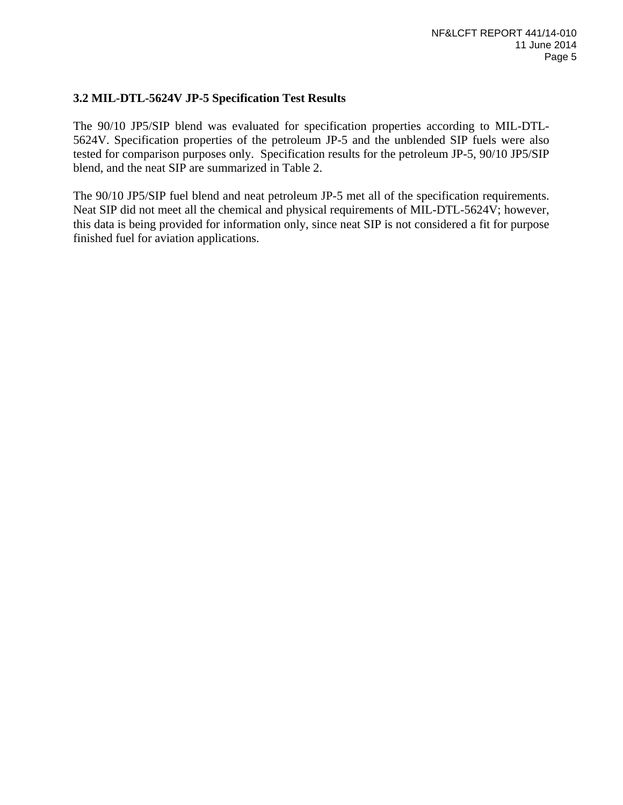#### **3.2 MIL-DTL-5624V JP-5 Specification Test Results**

The 90/10 JP5/SIP blend was evaluated for specification properties according to MIL-DTL-5624V. Specification properties of the petroleum JP-5 and the unblended SIP fuels were also tested for comparison purposes only. Specification results for the petroleum JP-5, 90/10 JP5/SIP blend, and the neat SIP are summarized in Table 2.

The 90/10 JP5/SIP fuel blend and neat petroleum JP-5 met all of the specification requirements. Neat SIP did not meet all the chemical and physical requirements of MIL-DTL-5624V; however, this data is being provided for information only, since neat SIP is not considered a fit for purpose finished fuel for aviation applications.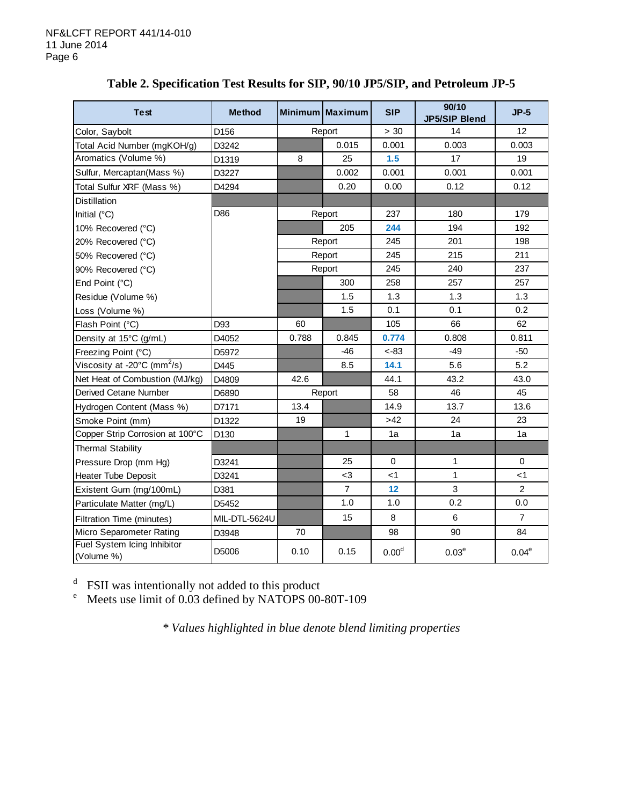<span id="page-13-0"></span>

| <b>Test</b>                               | <b>Method</b> |       | Minimum Maximum | <b>SIP</b>        | 90/10<br><b>JP5/SIP Blend</b> | $JP-5$            |
|-------------------------------------------|---------------|-------|-----------------|-------------------|-------------------------------|-------------------|
| Color, Saybolt                            | D156          |       | Report          | $> 30$            | 14                            | 12                |
| Total Acid Number (mgKOH/g)               | D3242         |       | 0.015           | 0.001             | 0.003                         | 0.003             |
| Aromatics (Volume %)                      | D1319         | 8     | 25              | 1.5               | 17                            | 19                |
| Sulfur, Mercaptan(Mass %)                 | D3227         |       | 0.002           | 0.001             | 0.001                         | 0.001             |
| Total Sulfur XRF (Mass %)                 | D4294         |       | 0.20            | 0.00              | 0.12                          | 0.12              |
| <b>Distillation</b>                       |               |       |                 |                   |                               |                   |
| Initial $(^{\circ}C)$                     | D86           |       | Report          | 237               | 180                           | 179               |
| 10% Recovered (°C)                        |               |       | 205             | 244               | 194                           | 192               |
| 20% Recovered (°C)                        |               |       | Report          | 245               | 201                           | 198               |
| 50% Recovered (°C)                        |               |       | Report          | 245               | 215                           | 211               |
| 90% Recovered (°C)                        |               |       | Report          | 245               | 240                           | 237               |
| End Point (°C)                            |               |       | 300             | 258               | 257                           | 257               |
| Residue (Volume %)                        |               |       | 1.5             | 1.3               | 1.3                           | 1.3               |
| Loss (Volume %)                           |               |       | 1.5             | 0.1               | 0.1                           | 0.2               |
| Flash Point (°C)                          | D93           | 60    |                 | 105               | 66                            | 62                |
| Density at 15°C (g/mL)                    | D4052         | 0.788 | 0.845           | 0.774             | 0.808                         | 0.811             |
| Freezing Point (°C)                       | D5972         |       | $-46$           | $< -83$           | $-49$                         | $-50$             |
| Viscosity at -20°C (mm <sup>2</sup> /s)   | D445          |       | 8.5             | 14.1              | 5.6                           | 5.2               |
| Net Heat of Combustion (MJ/kg)            | D4809         | 42.6  |                 | 44.1              | 43.2                          | 43.0              |
| Derived Cetane Number                     | D6890         |       | Report          | 58                | 46                            | 45                |
| Hydrogen Content (Mass %)                 | D7171         | 13.4  |                 | 14.9              | 13.7                          | 13.6              |
| Smoke Point (mm)                          | D1322         | 19    |                 | $>42$             | 24                            | 23                |
| Copper Strip Corrosion at 100°C           | D130          |       | $\mathbf{1}$    | 1a                | 1a                            | 1a                |
| <b>Thermal Stability</b>                  |               |       |                 |                   |                               |                   |
| Pressure Drop (mm Hg)                     | D3241         |       | 25              | 0                 | 1                             | 0                 |
| <b>Heater Tube Deposit</b>                | D3241         |       | $3$             | $<$ 1             | $\mathbf{1}$                  | $<$ 1             |
| Existent Gum (mg/100mL)                   | D381          |       | $\overline{7}$  | 12                | 3                             | $\overline{2}$    |
| Particulate Matter (mg/L)                 | D5452         |       | 1.0             | 1.0               | 0.2                           | 0.0               |
| Filtration Time (minutes)                 | MIL-DTL-5624U |       | 15              | 8                 | 6                             | $\overline{7}$    |
| Micro Separometer Rating                  | D3948         | 70    |                 | 98                | 90                            | 84                |
| Fuel System Icing Inhibitor<br>(Volume %) | D5006         | 0.10  | 0.15            | 0.00 <sup>d</sup> | 0.03 <sup>e</sup>             | 0.04 <sup>e</sup> |

#### **Table 2. Specification Test Results for SIP, 90/10 JP5/SIP, and Petroleum JP-5**

<sup>d</sup> FSII was intentionally not added to this product <sup>e</sup> Meets use limit of 0.03 defined by NATOPS 00-80T-109

*\* Values highlighted in blue denote blend limiting properties*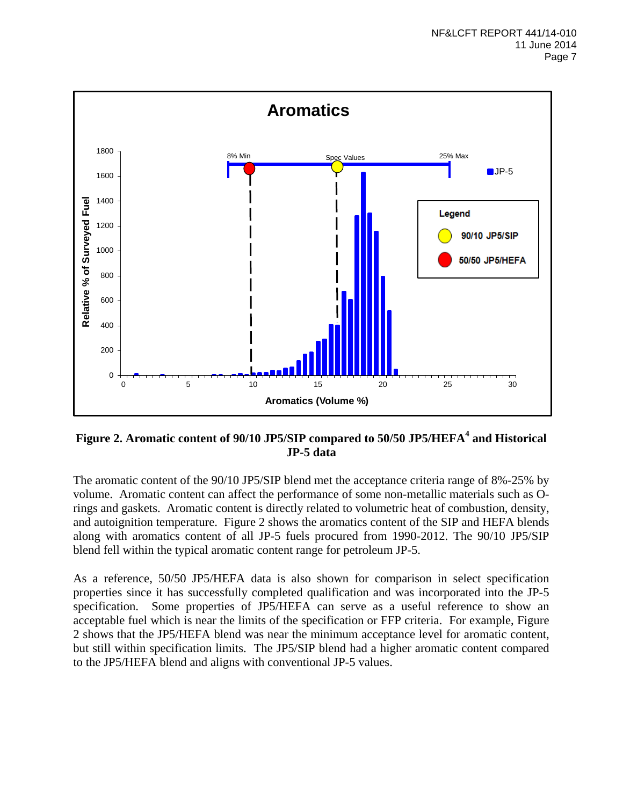

#### <span id="page-14-0"></span>**Figure 2. Aromatic content of 90/10 JP5/SIP compared to 50/50 JP5/HEFA4 and Historical JP-5 data**

The aromatic content of the 90/10 JP5/SIP blend met the acceptance criteria range of 8%-25% by volume. Aromatic content can affect the performance of some non-metallic materials such as Orings and gaskets. Aromatic content is directly related to volumetric heat of combustion, density, and autoignition temperature. Figure 2 shows the aromatics content of the SIP and HEFA blends along with aromatics content of all JP-5 fuels procured from 1990-2012. The 90/10 JP5/SIP blend fell within the typical aromatic content range for petroleum JP-5.

As a reference, 50/50 JP5/HEFA data is also shown for comparison in select specification properties since it has successfully completed qualification and was incorporated into the JP-5 specification. Some properties of JP5/HEFA can serve as a useful reference to show an acceptable fuel which is near the limits of the specification or FFP criteria. For example, Figure 2 shows that the JP5/HEFA blend was near the minimum acceptance level for aromatic content, but still within specification limits. The JP5/SIP blend had a higher aromatic content compared to the JP5/HEFA blend and aligns with conventional JP-5 values.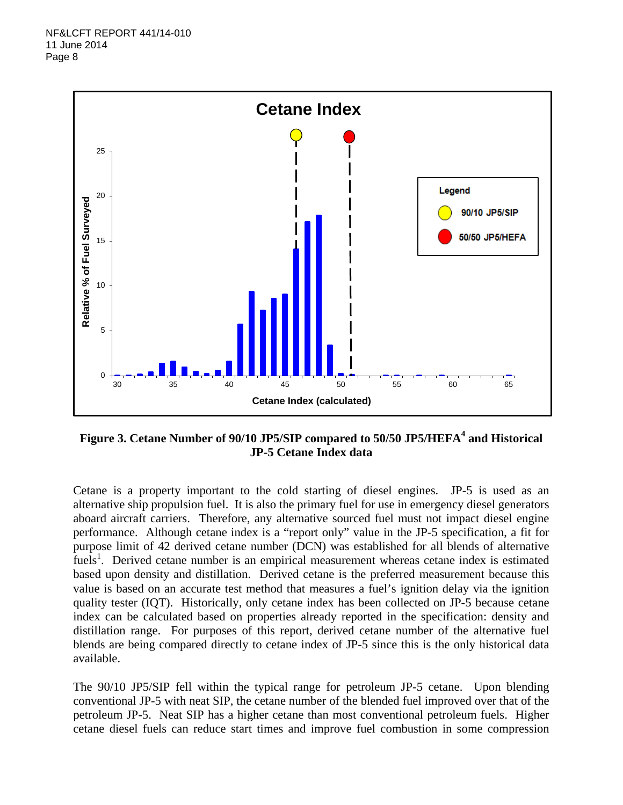

<span id="page-15-0"></span>**Figure 3. Cetane Number of 90/10 JP5/SIP compared to 50/50 JP5/HEFA4 and Historical JP-5 Cetane Index data**

Cetane is a property important to the cold starting of diesel engines. JP-5 is used as an alternative ship propulsion fuel. It is also the primary fuel for use in emergency diesel generators aboard aircraft carriers. Therefore, any alternative sourced fuel must not impact diesel engine performance. Although cetane index is a "report only" value in the JP-5 specification, a fit for purpose limit of 42 derived cetane number (DCN) was established for all blends of alternative fuels<sup>1</sup>. Derived cetane number is an empirical measurement whereas cetane index is estimated based upon density and distillation. Derived cetane is the preferred measurement because this value is based on an accurate test method that measures a fuel's ignition delay via the ignition quality tester (IQT). Historically, only cetane index has been collected on JP-5 because cetane index can be calculated based on properties already reported in the specification: density and distillation range. For purposes of this report, derived cetane number of the alternative fuel blends are being compared directly to cetane index of JP-5 since this is the only historical data available.

The 90/10 JP5/SIP fell within the typical range for petroleum JP-5 cetane. Upon blending conventional JP-5 with neat SIP, the cetane number of the blended fuel improved over that of the petroleum JP-5. Neat SIP has a higher cetane than most conventional petroleum fuels. Higher cetane diesel fuels can reduce start times and improve fuel combustion in some compression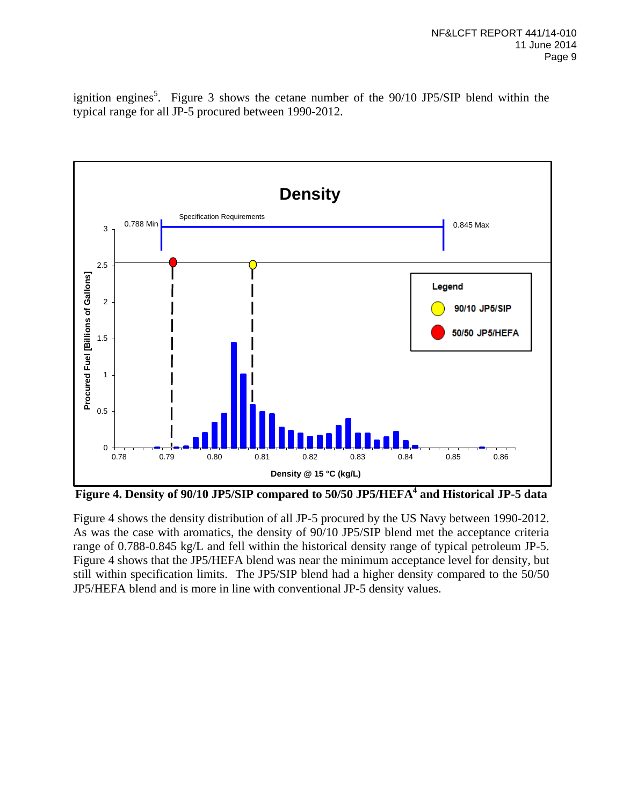ignition engines<sup>5</sup>. Figure 3 shows the cetane number of the 90/10 JP5/SIP blend within the typical range for all JP-5 procured between 1990-2012.



<span id="page-16-0"></span>Figure 4. Density of 90/10 JP5/SIP compared to 50/50 JP5/HEFA<sup>4</sup> and Historical JP-5 data

Figure 4 shows the density distribution of all JP-5 procured by the US Navy between 1990-2012. As was the case with aromatics, the density of 90/10 JP5/SIP blend met the acceptance criteria range of 0.788-0.845 kg/L and fell within the historical density range of typical petroleum JP-5. Figure 4 shows that the JP5/HEFA blend was near the minimum acceptance level for density, but still within specification limits. The JP5/SIP blend had a higher density compared to the 50/50 JP5/HEFA blend and is more in line with conventional JP-5 density values.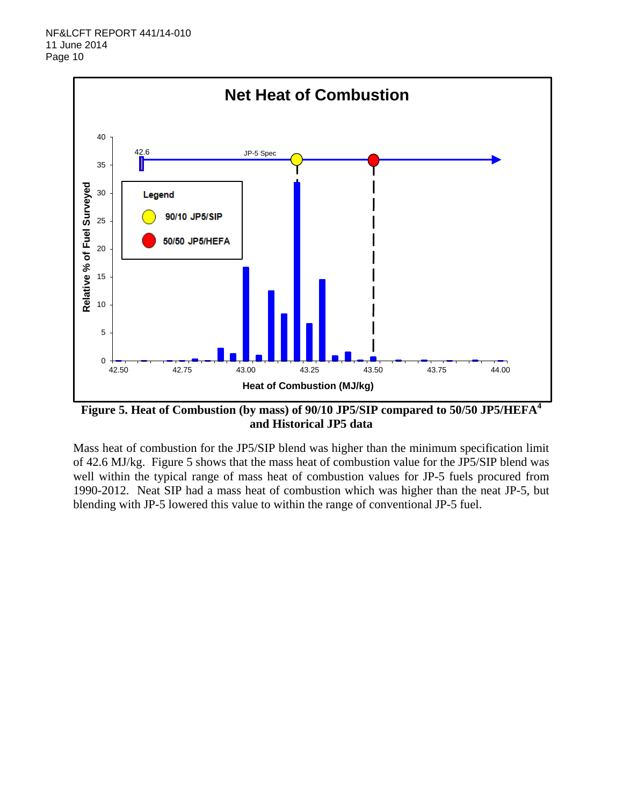

<span id="page-17-0"></span>**Figure 5. Heat of Combustion (by mass) of 90/10 JP5/SIP compared to 50/50 JP5/HEFA4 and Historical JP5 data**

Mass heat of combustion for the JP5/SIP blend was higher than the minimum specification limit of 42.6 MJ/kg. Figure 5 shows that the mass heat of combustion value for the JP5/SIP blend was well within the typical range of mass heat of combustion values for JP-5 fuels procured from 1990-2012. Neat SIP had a mass heat of combustion which was higher than the neat JP-5, but blending with JP-5 lowered this value to within the range of conventional JP-5 fuel.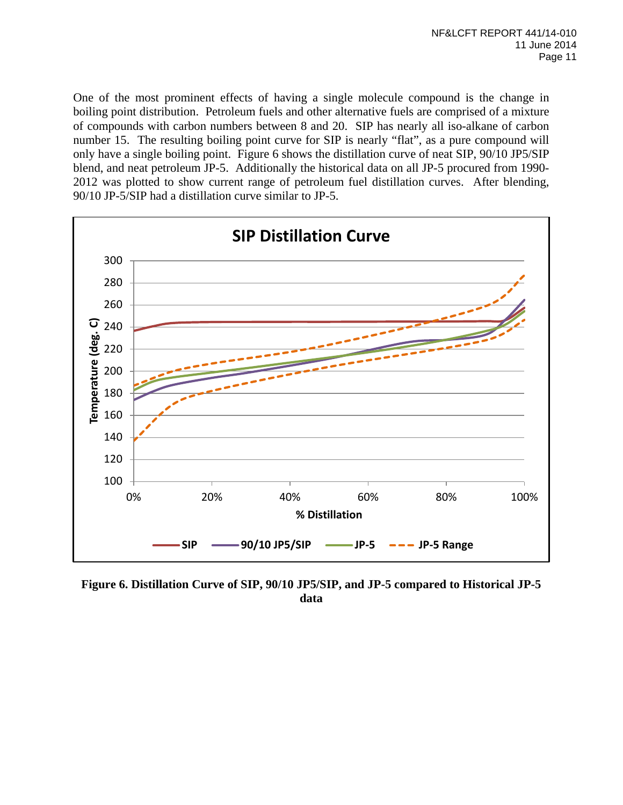One of the most prominent effects of having a single molecule compound is the change in boiling point distribution. Petroleum fuels and other alternative fuels are comprised of a mixture of compounds with carbon numbers between 8 and 20. SIP has nearly all iso-alkane of carbon number 15. The resulting boiling point curve for SIP is nearly "flat", as a pure compound will only have a single boiling point. [Figure 6](#page-18-0) shows the distillation curve of neat SIP, 90/10 JP5/SIP blend, and neat petroleum JP-5. Additionally the historical data on all JP-5 procured from 1990- 2012 was plotted to show current range of petroleum fuel distillation curves. After blending, 90/10 JP-5/SIP had a distillation curve similar to JP-5.



<span id="page-18-0"></span>**Figure 6. Distillation Curve of SIP, 90/10 JP5/SIP, and JP-5 compared to Historical JP-5 data**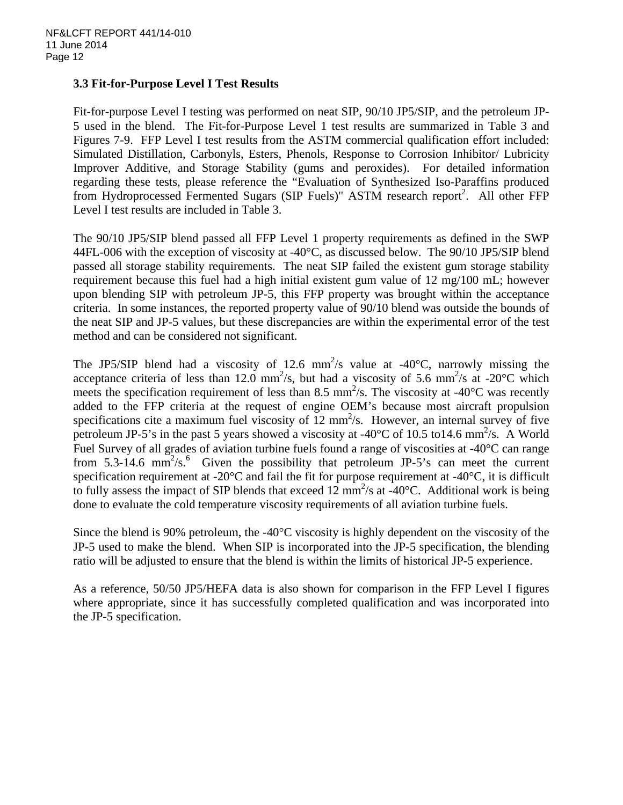#### **3.3 Fit-for-Purpose Level I Test Results**

Fit-for-purpose Level I testing was performed on neat SIP, 90/10 JP5/SIP, and the petroleum JP-5 used in the blend. The Fit-for-Purpose Level 1 test results are summarized in Table 3 and Figures 7-9. FFP Level I test results from the ASTM commercial qualification effort included: Simulated Distillation, Carbonyls, Esters, Phenols, Response to Corrosion Inhibitor/ Lubricity Improver Additive, and Storage Stability (gums and peroxides). For detailed information regarding these tests, please reference the "Evaluation of Synthesized Iso-Paraffins produced from Hydroprocessed Fermented Sugars (SIP Fuels)" ASTM research report<sup>2</sup>. All other FFP Level I test results are included in Table 3.

The 90/10 JP5/SIP blend passed all FFP Level 1 property requirements as defined in the SWP 44FL-006 with the exception of viscosity at -40°C, as discussed below. The 90/10 JP5/SIP blend passed all storage stability requirements. The neat SIP failed the existent gum storage stability requirement because this fuel had a high initial existent gum value of 12 mg/100 mL; however upon blending SIP with petroleum JP-5, this FFP property was brought within the acceptance criteria. In some instances, the reported property value of 90/10 blend was outside the bounds of the neat SIP and JP-5 values, but these discrepancies are within the experimental error of the test method and can be considered not significant.

The JP5/SIP blend had a viscosity of 12.6 mm<sup>2</sup>/s value at -40 $\degree$ C, narrowly missing the acceptance criteria of less than 12.0 mm<sup>2</sup>/s, but had a viscosity of 5.6 mm<sup>2</sup>/s at -20 °C which meets the specification requirement of less than 8.5 mm<sup>2</sup>/s. The viscosity at -40 $\degree$ C was recently added to the FFP criteria at the request of engine OEM's because most aircraft propulsion specifications cite a maximum fuel viscosity of  $12 \text{ mm}^2/\text{s}$ . However, an internal survey of five petroleum JP-5's in the past 5 years showed a viscosity at -40 $\degree$ C of 10.5 to14.6 mm<sup>2</sup>/s. A World Fuel Survey of all grades of aviation turbine fuels found a range of viscosities at -40°C can range from 5.3-14.6  $mm^2/s$ .<sup>6</sup> Given the possibility that petroleum JP-5's can meet the current specification requirement at -20°C and fail the fit for purpose requirement at -40°C, it is difficult to fully assess the impact of SIP blends that exceed 12 mm<sup>2</sup>/s at -40°C. Additional work is being done to evaluate the cold temperature viscosity requirements of all aviation turbine fuels.

Since the blend is 90% petroleum, the -40°C viscosity is highly dependent on the viscosity of the JP-5 used to make the blend. When SIP is incorporated into the JP-5 specification, the blending ratio will be adjusted to ensure that the blend is within the limits of historical JP-5 experience.

As a reference, 50/50 JP5/HEFA data is also shown for comparison in the FFP Level I figures where appropriate, since it has successfully completed qualification and was incorporated into the JP-5 specification.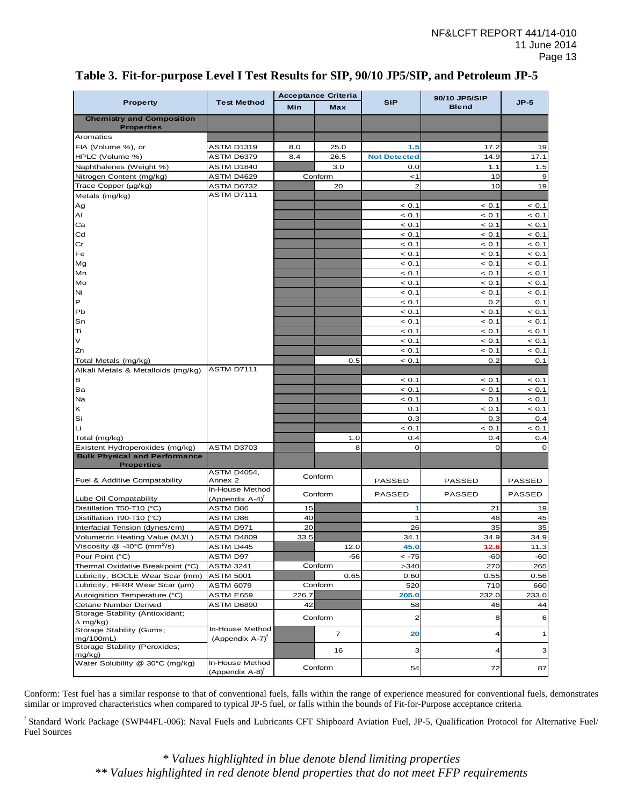| Table 3. Fit-for-purpose Level I Test Results for SIP, 90/10 JP5/SIP, and Petroleum JP-5 |  |  |  |  |  |  |  |
|------------------------------------------------------------------------------------------|--|--|--|--|--|--|--|
|------------------------------------------------------------------------------------------|--|--|--|--|--|--|--|

|                                                       |                                                    | <b>Acceptance Criteria</b> |                |                         | 90/10 JP5/SIP  |               |
|-------------------------------------------------------|----------------------------------------------------|----------------------------|----------------|-------------------------|----------------|---------------|
| <b>Property</b>                                       | <b>Test Method</b>                                 | <b>Min</b>                 | Max            | <b>SIP</b>              | <b>Blend</b>   | $JP-5$        |
| <b>Chemistry and Composition</b><br><b>Properties</b> |                                                    |                            |                |                         |                |               |
| Aromatics                                             |                                                    |                            |                |                         |                |               |
| FIA (Volume %), or                                    | ASTM D1319                                         | 8.0                        | 25.0           | 1.5                     | 17.2           | 19            |
| HPLC (Volume %)                                       | ASTM D6379                                         | 8.4                        | 26.5           | <b>Not Detected</b>     | 14.9           | 17.1          |
| Naphthalenes (Weight %)                               | ASTM D1840                                         |                            | 3.0            | 0.0                     | 1.1            | 1.5           |
| Nitrogen Content (mg/kg)                              | ASTM D4629                                         |                            | Conform        | $<$ 1                   | 10             | 9             |
| Trace Copper (µg/kg)                                  | ASTM D6732                                         |                            | 20             | $\overline{2}$          | 10             | 19            |
| Metals (mg/kg)                                        | <b>ASTM D7111</b>                                  |                            |                |                         |                |               |
| Ag                                                    |                                                    |                            |                | < 0.1                   | < 0.1          | < 0.1         |
| AI                                                    |                                                    |                            |                | < 0.1                   | < 0.1          | < 0.1         |
| Ca                                                    |                                                    |                            |                | < 0.1                   | < 0.1          | < 0.1         |
| Cd                                                    |                                                    |                            |                | < 0.1                   | < 0.1          | < 0.1         |
| Cr                                                    |                                                    |                            |                | < 0.1                   | < 0.1          | < 0.1         |
| Fe                                                    |                                                    |                            |                | < 0.1                   | < 0.1          | < 0.1         |
| Mg                                                    |                                                    |                            |                | < 0.1                   | < 0.1          | < 0.1         |
| Mn                                                    |                                                    |                            |                | < 0.1                   | < 0.1          | < 0.1         |
| Mo                                                    |                                                    |                            |                | < 0.1                   | < 0.1          | < 0.1         |
| Ni                                                    |                                                    |                            |                | < 0.1                   | < 0.1          | < 0.1         |
| P                                                     |                                                    |                            |                | < 0.1                   | 0.2            | 0.1           |
| Pb                                                    |                                                    |                            |                | < 0.1                   | < 0.1          | < 0.1         |
| Sn                                                    |                                                    |                            |                | < 0.1                   | < 0.1          | < 0.1         |
| Tì                                                    |                                                    |                            |                | < 0.1                   | < 0.1          | < 0.1         |
| V                                                     |                                                    |                            |                | < 0.1                   | < 0.1          | < 0.1         |
| Zn                                                    |                                                    |                            |                | < 0.1                   | < 0.1          | < 0.1         |
| Total Metals (mg/kg)                                  |                                                    |                            | 0.5            | < 0.1                   | 0.2            | 0.1           |
| Alkali Metals & Metalloids (mg/kg)                    | ASTM D7111                                         |                            |                |                         |                |               |
| в                                                     |                                                    |                            |                | < 0.1                   | < 0.1          | < 0.1         |
| Ba                                                    |                                                    |                            |                | < 0.1                   | < 0.1          | < 0.1         |
| Na                                                    |                                                    |                            |                | < 0.1                   | 0.1            | < 0.1         |
| κ                                                     |                                                    |                            |                | 0.1                     | < 0.1          | < 0.1         |
| Si                                                    |                                                    |                            |                | 0.3                     | 0.3            | 0.4           |
| Li<br>Total (mg/kg)                                   |                                                    |                            | 1.0            | < 0.1<br>0.4            | < 0.1<br>0.4   | < 0.1<br>0.4  |
| Existent Hydroperoxides (mg/kg)                       | ASTM D3703                                         |                            | 8              | $\mathbf{O}$            | $\Omega$       | $\mathbf 0$   |
| <b>Bulk Physical and Performance</b>                  |                                                    |                            |                |                         |                |               |
| <b>Properties</b>                                     | <b>ASTM D4054,</b>                                 |                            |                |                         |                |               |
| Fuel & Additive Compatability                         | Annex <sub>2</sub>                                 |                            | Conform        | <b>PASSED</b>           | <b>PASSED</b>  | <b>PASSED</b> |
| Lube Oil Compatability                                | In-House Method<br>(Appendix A-4) <sup>†</sup>     |                            | Conform        | <b>PASSED</b>           | <b>PASSED</b>  | <b>PASSED</b> |
| Distillation T50-T10 (°C)                             | ASTM D86                                           | 15                         |                | 1                       | 21             | 19            |
| Distillation T90-T10 (°C)                             | ASTM D86                                           | 40                         |                | 1                       | 46             | 45            |
| Interfacial Tension (dynes/cm)                        | ASTM D971                                          | 20                         |                | 26                      | 35             | 35            |
| Volumetric Heating Value (MJ/L)                       | <b>ASTM D4809</b>                                  | 33.5                       |                | 34.1                    | 34.9           | 34.9          |
| Viscosity $@ -40°C$ (mm <sup>2</sup> /s)              | ASTM D445                                          |                            | 12.0           | 45.0                    | 12.6           | 11.3          |
| Pour Point (°C)                                       | ASTM D97                                           |                            | $-56$          | $< -75$                 | -60            | $-60$         |
| Thermal Oxidative Breakpoint (°C)                     | <b>ASTM 3241</b>                                   |                            | Conform        | >340                    | 270            | 265           |
| Lubricity, BOCLE Wear Scar (mm)                       | <b>ASTM 5001</b>                                   |                            | 0.65           | 0.60                    | 0.55           | 0.56          |
| Lubricity, HFRR Wear Scar (µm)                        | ASTM 6079                                          |                            | Conform        | 520                     | 710            | 660           |
| Autoignition Temperature (°C)                         | ASTM E659                                          | 226.7                      |                | 205.0                   | 232.0          | 233.0         |
| Cetane Number Derived                                 | <b>ASTM D6890</b>                                  | 42                         |                | 58                      | 46             | 44            |
| Storage Stability (Antioxidant;<br>$\Delta$ mg/kg)    |                                                    |                            | Conform        | $\mathbf{2}$            | 8              | 6             |
| Storage Stability (Gums;<br>mg/100mL)                 | In-House Method<br>$(A$ ppendix $A-7$ <sup>f</sup> |                            | $\overline{7}$ | 20                      | $\overline{4}$ | $\mathbf{1}$  |
| Storage Stability (Peroxides;<br>mg/kg)               |                                                    |                            | 16             | $\overline{\mathbf{3}}$ | 4              | 3             |
| Water Solubility @ 30°C (mq/kq)                       | In-House Method<br>(Appendix A-8) <sup>†</sup>     |                            | Conform        | 54                      | 72             | 87            |

Conform: Test fuel has a similar response to that of conventional fuels, falls within the range of experience measured for conventional fuels, demonstrates similar or improved characteristics when compared to typical JP-5 fuel, or falls within the bounds of Fit-for-Purpose acceptance criteria.

f Standard Work Package (SWP44FL-006): Naval Fuels and Lubricants CFT Shipboard Aviation Fuel, JP-5, Qualification Protocol for Alternative Fuel/ Fuel Sources

#### *\* Values highlighted in blue denote blend limiting properties \*\* Values highlighted in red denote blend properties that do not meet FFP requirements*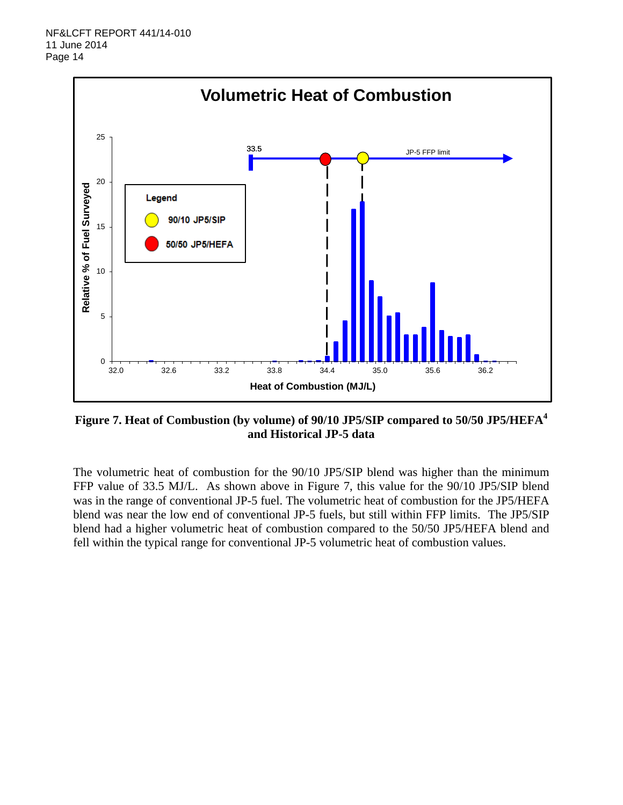

<span id="page-21-0"></span>**Figure 7. Heat of Combustion (by volume) of 90/10 JP5/SIP compared to 50/50 JP5/HEFA4 and Historical JP-5 data**

The volumetric heat of combustion for the 90/10 JP5/SIP blend was higher than the minimum FFP value of 33.5 MJ/L. As shown above in Figure 7, this value for the 90/10 JP5/SIP blend was in the range of conventional JP-5 fuel. The volumetric heat of combustion for the JP5/HEFA blend was near the low end of conventional JP-5 fuels, but still within FFP limits. The JP5/SIP blend had a higher volumetric heat of combustion compared to the 50/50 JP5/HEFA blend and fell within the typical range for conventional JP-5 volumetric heat of combustion values.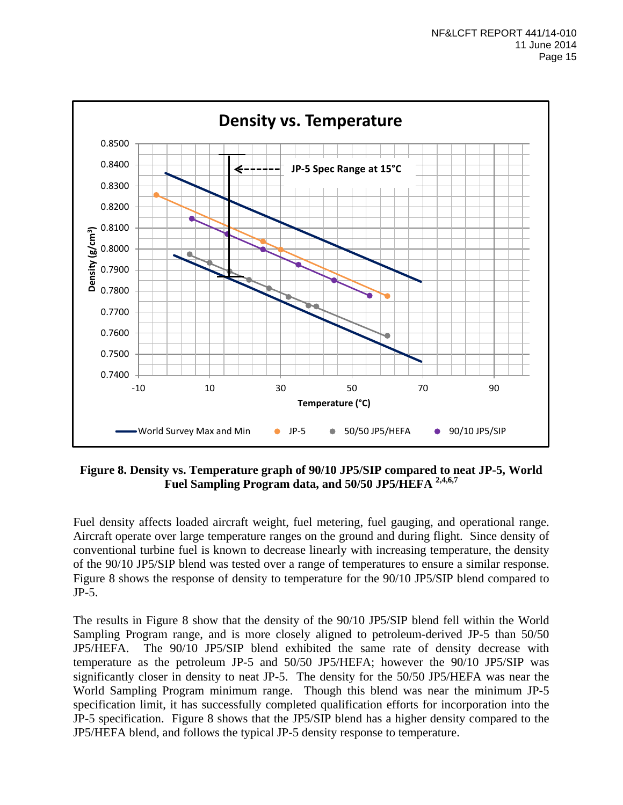

<span id="page-22-0"></span>**Figure 8. Density vs. Temperature graph of 90/10 JP5/SIP compared to neat JP-5, World Fuel Sampling Program data, and 50/50 JP5/HEFA 2,4,6,7**

Fuel density affects loaded aircraft weight, fuel metering, fuel gauging, and operational range. Aircraft operate over large temperature ranges on the ground and during flight. Since density of conventional turbine fuel is known to decrease linearly with increasing temperature, the density of the 90/10 JP5/SIP blend was tested over a range of temperatures to ensure a similar response. Figure 8 shows the response of density to temperature for the 90/10 JP5/SIP blend compared to JP-5.

The results in Figure 8 show that the density of the 90/10 JP5/SIP blend fell within the World Sampling Program range, and is more closely aligned to petroleum-derived JP-5 than 50/50 JP5/HEFA. The 90/10 JP5/SIP blend exhibited the same rate of density decrease with temperature as the petroleum JP-5 and 50/50 JP5/HEFA; however the 90/10 JP5/SIP was significantly closer in density to neat JP-5. The density for the 50/50 JP5/HEFA was near the World Sampling Program minimum range. Though this blend was near the minimum JP-5 specification limit, it has successfully completed qualification efforts for incorporation into the JP-5 specification. Figure 8 shows that the JP5/SIP blend has a higher density compared to the JP5/HEFA blend, and follows the typical JP-5 density response to temperature.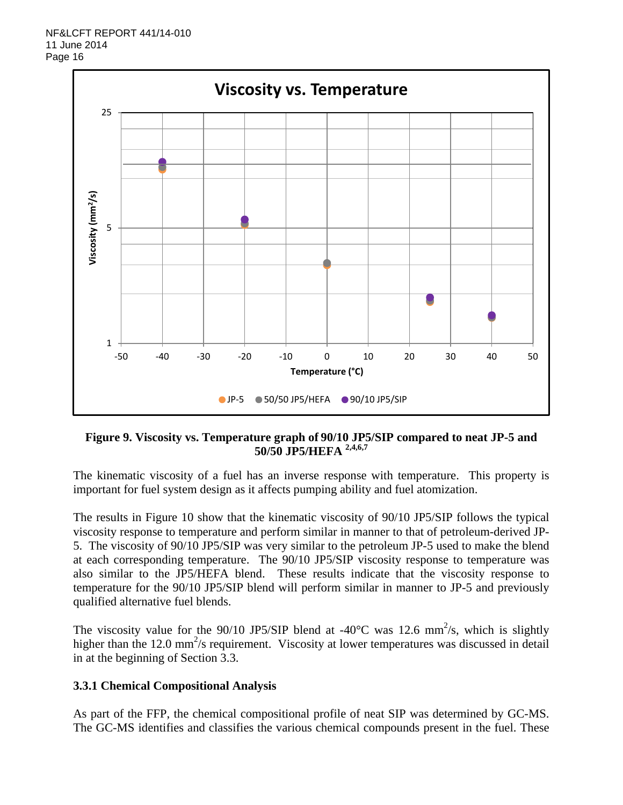

<span id="page-23-0"></span>**Figure 9. Viscosity vs. Temperature graph of 90/10 JP5/SIP compared to neat JP-5 and 50/50 JP5/HEFA 2,4,6,7**

The kinematic viscosity of a fuel has an inverse response with temperature. This property is important for fuel system design as it affects pumping ability and fuel atomization.

The results in Figure 10 show that the kinematic viscosity of 90/10 JP5/SIP follows the typical viscosity response to temperature and perform similar in manner to that of petroleum-derived JP-5. The viscosity of 90/10 JP5/SIP was very similar to the petroleum JP-5 used to make the blend at each corresponding temperature. The 90/10 JP5/SIP viscosity response to temperature was also similar to the JP5/HEFA blend. These results indicate that the viscosity response to temperature for the 90/10 JP5/SIP blend will perform similar in manner to JP-5 and previously qualified alternative fuel blends.

The viscosity value for the 90/10 JP5/SIP blend at -40 $\degree$ C was 12.6 mm<sup>2</sup>/s, which is slightly higher than the 12.0 mm<sup>2</sup>/s requirement. Viscosity at lower temperatures was discussed in detail in at the beginning of Section 3.3.

#### **3.3.1 Chemical Compositional Analysis**

As part of the FFP, the chemical compositional profile of neat SIP was determined by GC-MS. The GC-MS identifies and classifies the various chemical compounds present in the fuel. These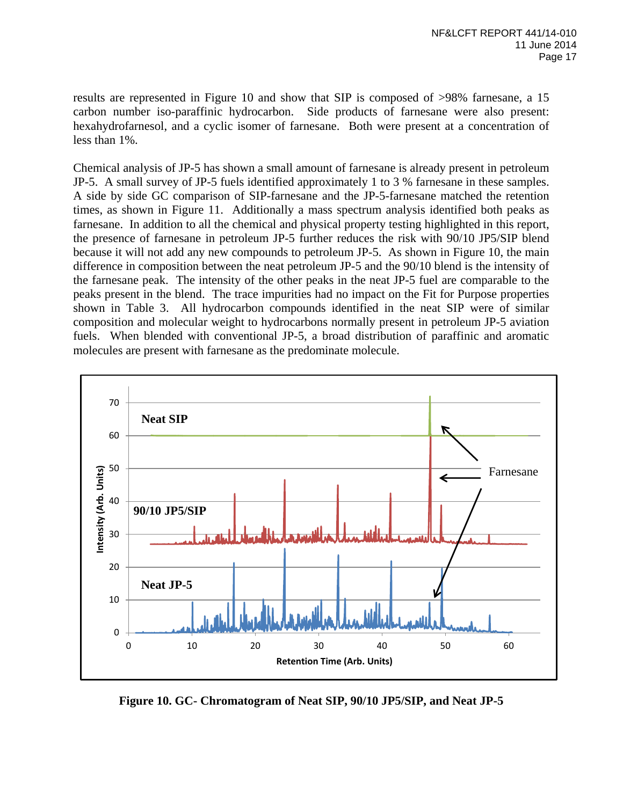results are represented in [Figure 10](#page-24-0) and show that SIP is composed of >98% farnesane, a 15 carbon number iso-paraffinic hydrocarbon. Side products of farnesane were also present: hexahydrofarnesol, and a cyclic isomer of farnesane. Both were present at a concentration of less than 1%.

Chemical analysis of JP-5 has shown a small amount of farnesane is already present in petroleum JP-5. A small survey of JP-5 fuels identified approximately 1 to 3 % farnesane in these samples. A side by side GC comparison of SIP-farnesane and the JP-5-farnesane matched the retention times, as shown in [Figure 11.](#page-25-0) Additionally a mass spectrum analysis identified both peaks as farnesane. In addition to all the chemical and physical property testing highlighted in this report, the presence of farnesane in petroleum JP-5 further reduces the risk with 90/10 JP5/SIP blend because it will not add any new compounds to petroleum JP-5. As shown in [Figure 10,](#page-24-0) the main difference in composition between the neat petroleum JP-5 and the 90/10 blend is the intensity of the farnesane peak. The intensity of the other peaks in the neat JP-5 fuel are comparable to the peaks present in the blend. The trace impurities had no impact on the Fit for Purpose properties shown in Table 3. All hydrocarbon compounds identified in the neat SIP were of similar composition and molecular weight to hydrocarbons normally present in petroleum JP-5 aviation fuels. When blended with conventional JP-5, a broad distribution of paraffinic and aromatic molecules are present with farnesane as the predominate molecule.



<span id="page-24-0"></span>**Figure 10. GC- Chromatogram of Neat SIP, 90/10 JP5/SIP, and Neat JP-5**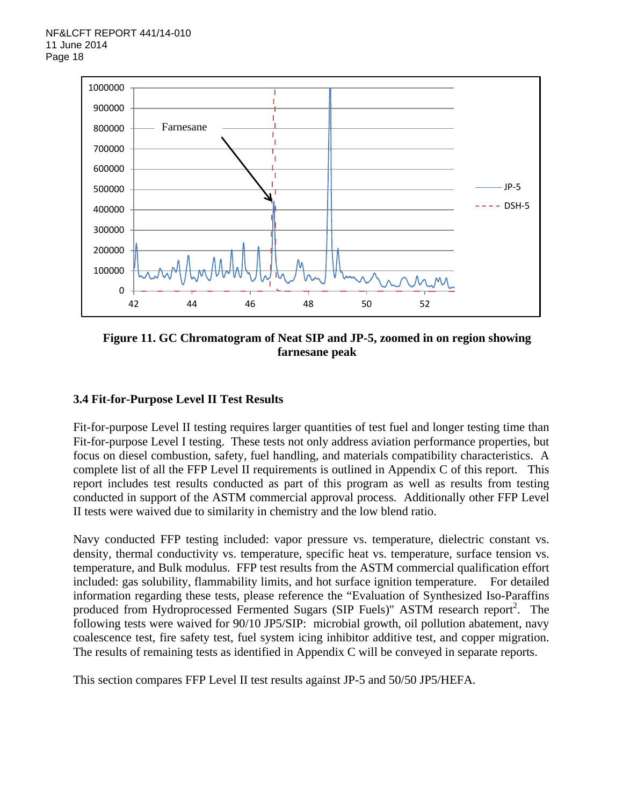

<span id="page-25-0"></span>**Figure 11. GC Chromatogram of Neat SIP and JP-5, zoomed in on region showing farnesane peak**

#### **3.4 Fit-for-Purpose Level II Test Results**

Fit-for-purpose Level II testing requires larger quantities of test fuel and longer testing time than Fit-for-purpose Level I testing. These tests not only address aviation performance properties, but focus on diesel combustion, safety, fuel handling, and materials compatibility characteristics. A complete list of all the FFP Level II requirements is outlined in Appendix C of this report. This report includes test results conducted as part of this program as well as results from testing conducted in support of the ASTM commercial approval process. Additionally other FFP Level II tests were waived due to similarity in chemistry and the low blend ratio.

Navy conducted FFP testing included: vapor pressure vs. temperature, dielectric constant vs. density, thermal conductivity vs. temperature, specific heat vs. temperature, surface tension vs. temperature, and Bulk modulus. FFP test results from the ASTM commercial qualification effort included: gas solubility, flammability limits, and hot surface ignition temperature. For detailed information regarding these tests, please reference the "Evaluation of Synthesized Iso-Paraffins produced from Hydroprocessed Fermented Sugars (SIP Fuels)" ASTM research report<sup>2</sup>. The following tests were waived for 90/10 JP5/SIP: microbial growth, oil pollution abatement, navy coalescence test, fire safety test, fuel system icing inhibitor additive test, and copper migration. The results of remaining tests as identified in Appendix C will be conveyed in separate reports.

This section compares FFP Level II test results against JP-5 and 50/50 JP5/HEFA.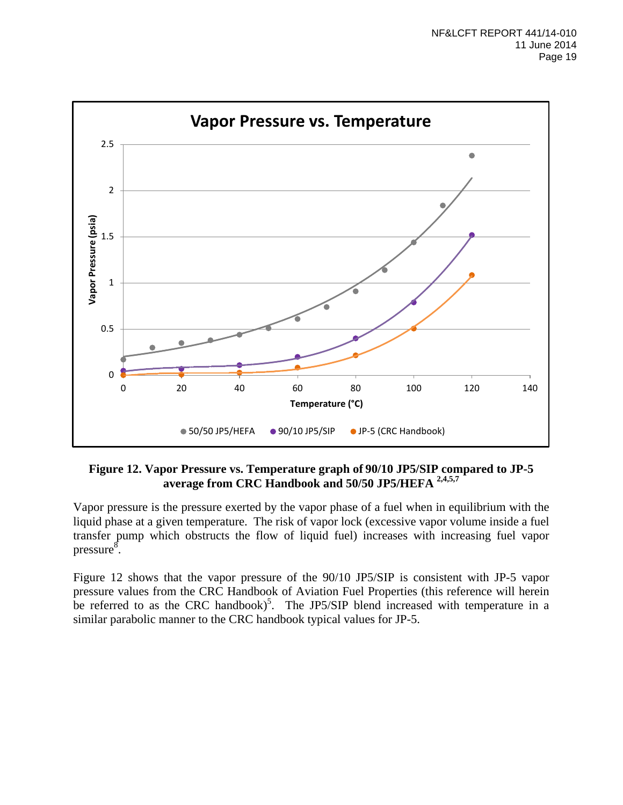

#### <span id="page-26-0"></span>**Figure 12. Vapor Pressure vs. Temperature graph of 90/10 JP5/SIP compared to JP-5 average from CRC Handbook and 50/50 JP5/HEFA 2,4,5,7**

Vapor pressure is the pressure exerted by the vapor phase of a fuel when in equilibrium with the liquid phase at a given temperature. The risk of vapor lock (excessive vapor volume inside a fuel transfer pump which obstructs the flow of liquid fuel) increases with increasing fuel vapor pressure $\mathscr{E}.$ 

[Figure 12](#page-26-0) shows that the vapor pressure of the 90/10 JP5/SIP is consistent with JP-5 vapor pressure values from the CRC Handbook of Aviation Fuel Properties (this reference will herein be referred to as the CRC handbook)<sup>5</sup>. The JP5/SIP blend increased with temperature in a similar parabolic manner to the CRC handbook typical values for JP-5.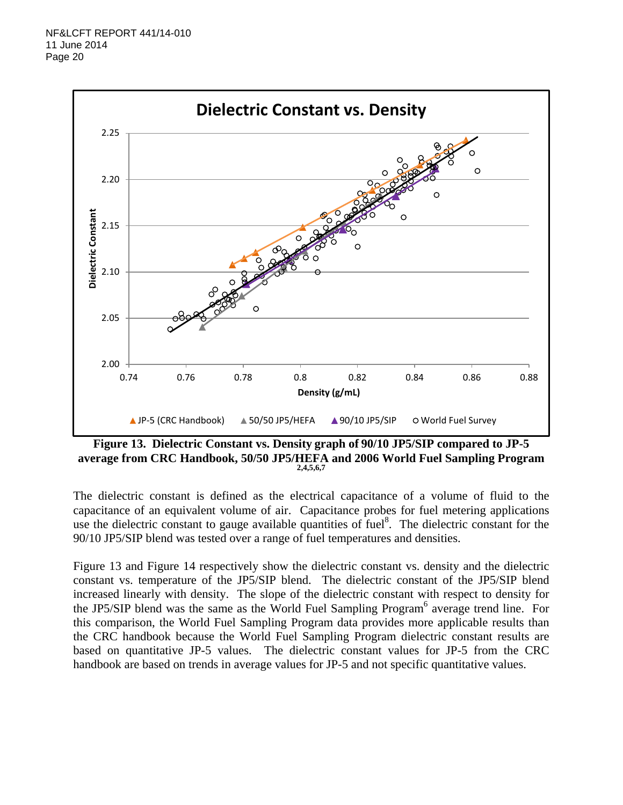

<span id="page-27-0"></span>**Figure 13. Dielectric Constant vs. Density graph of 90/10 JP5/SIP compared to JP-5 average from CRC Handbook, 50/50 JP5/HEFA and 2006 World Fuel Sampling Program 2,4,5,6,7**

The dielectric constant is defined as the electrical capacitance of a volume of fluid to the capacitance of an equivalent volume of air. Capacitance probes for fuel metering applications use the dielectric constant to gauge available quantities of fuel<sup>8</sup>. The dielectric constant for the 90/10 JP5/SIP blend was tested over a range of fuel temperatures and densities.

[Figure 13](#page-27-0) and [Figure 14](#page-28-0) respectively show the dielectric constant vs. density and the dielectric constant vs. temperature of the JP5/SIP blend. The dielectric constant of the JP5/SIP blend increased linearly with density. The slope of the dielectric constant with respect to density for the JP5/SIP blend was the same as the World Fuel Sampling Program<sup>6</sup> average trend line. For this comparison, the World Fuel Sampling Program data provides more applicable results than the CRC handbook because the World Fuel Sampling Program dielectric constant results are based on quantitative JP-5 values. The dielectric constant values for JP-5 from the CRC handbook are based on trends in average values for JP-5 and not specific quantitative values.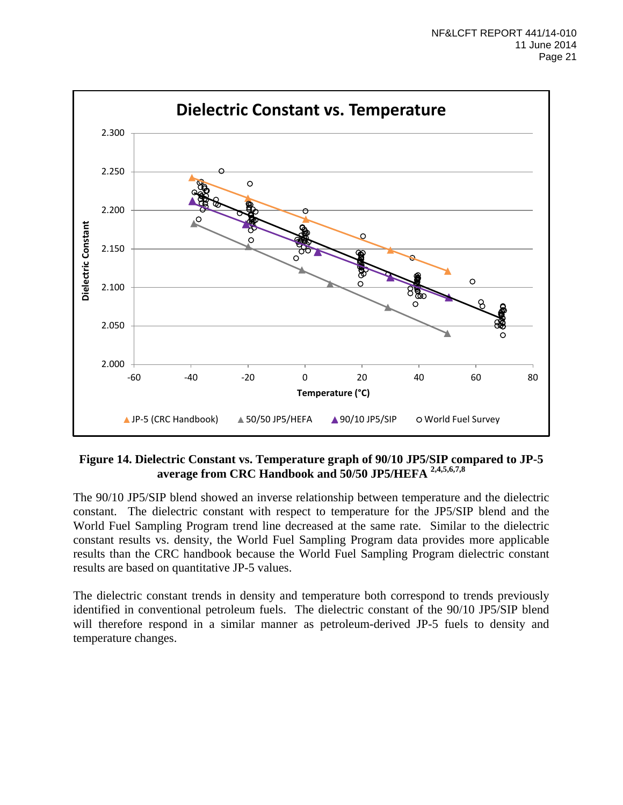

#### <span id="page-28-0"></span>**Figure 14. Dielectric Constant vs. Temperature graph of 90/10 JP5/SIP compared to JP-5 average from CRC Handbook and 50/50 JP5/HEFA 2,4,5,6,7,8**

The 90/10 JP5/SIP blend showed an inverse relationship between temperature and the dielectric constant. The dielectric constant with respect to temperature for the JP5/SIP blend and the World Fuel Sampling Program trend line decreased at the same rate. Similar to the dielectric constant results vs. density, the World Fuel Sampling Program data provides more applicable results than the CRC handbook because the World Fuel Sampling Program dielectric constant results are based on quantitative JP-5 values.

The dielectric constant trends in density and temperature both correspond to trends previously identified in conventional petroleum fuels. The dielectric constant of the 90/10 JP5/SIP blend will therefore respond in a similar manner as petroleum-derived JP-5 fuels to density and temperature changes.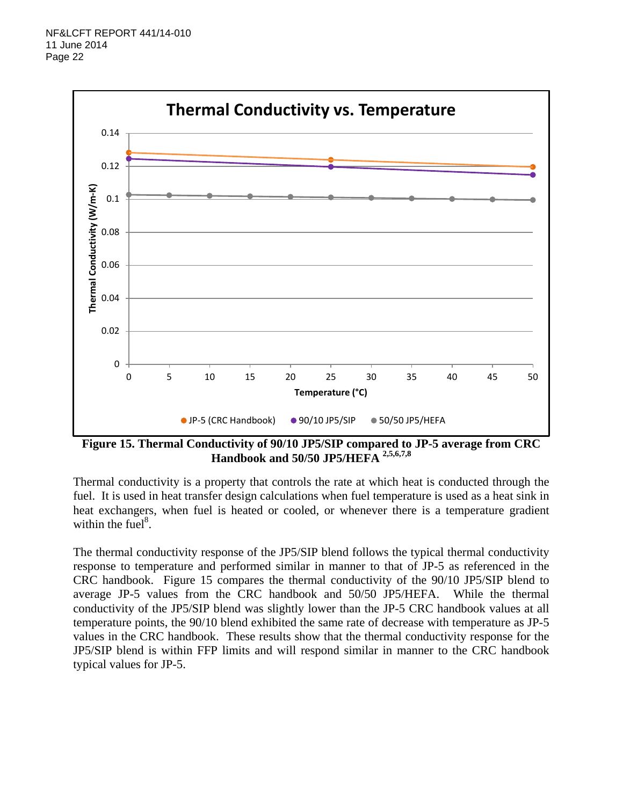

<span id="page-29-0"></span>**Figure 15. Thermal Conductivity of 90/10 JP5/SIP compared to JP-5 average from CRC Handbook and 50/50 JP5/HEFA 2,5,6,7,8**

Thermal conductivity is a property that controls the rate at which heat is conducted through the fuel. It is used in heat transfer design calculations when fuel temperature is used as a heat sink in heat exchangers, when fuel is heated or cooled, or whenever there is a temperature gradient within the fuel<sup>8</sup>.

The thermal conductivity response of the JP5/SIP blend follows the typical thermal conductivity response to temperature and performed similar in manner to that of JP-5 as referenced in the CRC handbook. [Figure 15](#page-29-0) compares the thermal conductivity of the 90/10 JP5/SIP blend to average JP-5 values from the CRC handbook and 50/50 JP5/HEFA. While the thermal conductivity of the JP5/SIP blend was slightly lower than the JP-5 CRC handbook values at all temperature points, the 90/10 blend exhibited the same rate of decrease with temperature as JP-5 values in the CRC handbook. These results show that the thermal conductivity response for the JP5/SIP blend is within FFP limits and will respond similar in manner to the CRC handbook typical values for JP-5.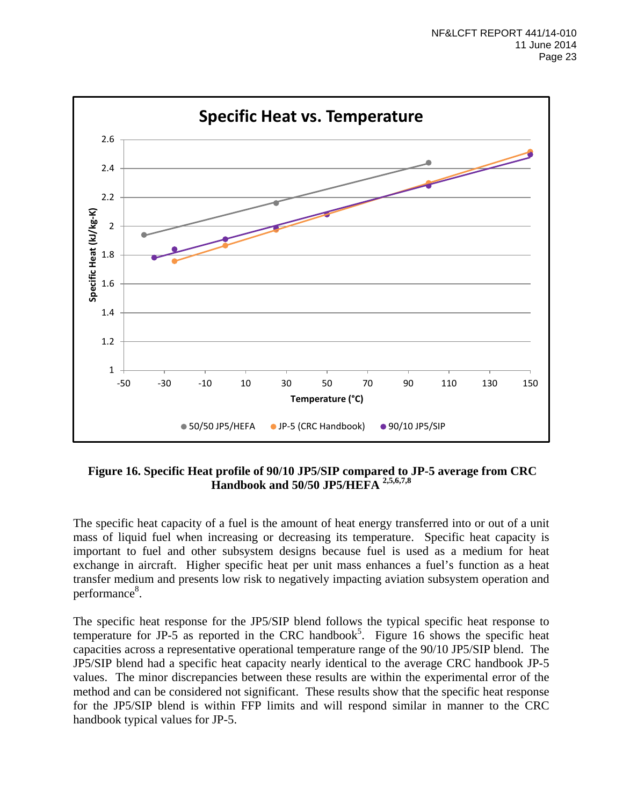

#### <span id="page-30-1"></span><span id="page-30-0"></span>**Figure 16. Specific Heat profile of 90/10 JP5/SIP compared to JP-5 average from CRC Handbook and 50/50 JP5/HEFA 2,5,6,7,8**

The specific heat capacity of a fuel is the amount of heat energy transferred into or out of a unit mass of liquid fuel when increasing or decreasing its temperature. Specific heat capacity is important to fuel and other subsystem designs because fuel is used as a medium for heat exchange in aircraft. Higher specific heat per unit mass enhances a fuel's function as a heat transfer medium and presents low risk to negatively impacting aviation subsystem operation and performance<sup>8</sup>.

The specific heat response for the JP5/SIP blend follows the typical specific heat response to temperature for JP-5 as reported in the CRC handbook<sup>5</sup>. [Figure 16](#page-30-1) shows the specific heat capacities across a representative operational temperature range of the 90/10 JP5/SIP blend. The JP5/SIP blend had a specific heat capacity nearly identical to the average CRC handbook JP-5 values. The minor discrepancies between these results are within the experimental error of the method and can be considered not significant. These results show that the specific heat response for the JP5/SIP blend is within FFP limits and will respond similar in manner to the CRC handbook typical values for JP-5.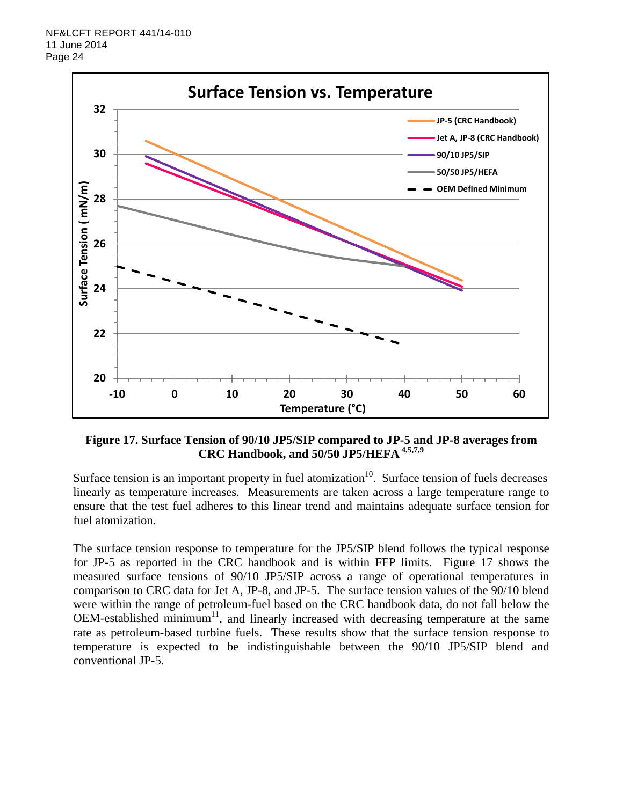

<span id="page-31-0"></span>**Figure 17. Surface Tension of 90/10 JP5/SIP compared to JP-5 and JP-8 averages from CRC Handbook, and 50/50 JP5/HEFA 4,5,7,9**

Surface tension is an important property in fuel atomization $10$ . Surface tension of fuels decreases linearly as temperature increases. Measurements are taken across a large temperature range to ensure that the test fuel adheres to this linear trend and maintains adequate surface tension for fuel atomization.

The surface tension response to temperature for the JP5/SIP blend follows the typical response for JP-5 as reported in the CRC handbook and is within FFP limits. [Figure 17](#page-31-0) shows the measured surface tensions of 90/10 JP5/SIP across a range of operational temperatures in comparison to CRC data for Jet A, JP-8, and JP-5. The surface tension values of the 90/10 blend were within the range of petroleum-fuel based on the CRC handbook data, do not fall below the  $OEM-estabilished minimum<sup>11</sup>$ , and linearly increased with decreasing temperature at the same rate as petroleum-based turbine fuels. These results show that the surface tension response to temperature is expected to be indistinguishable between the 90/10 JP5/SIP blend and conventional JP-5.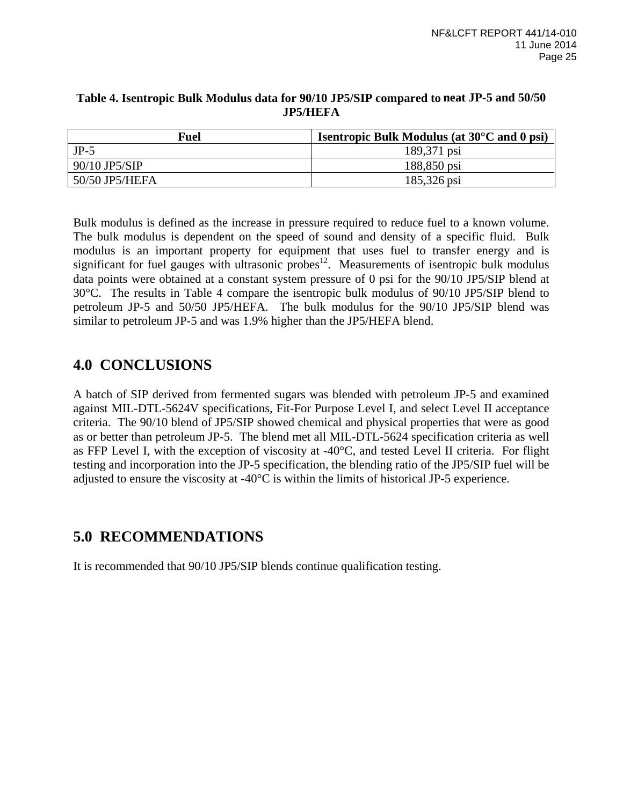| Fuel           | <b>Isentropic Bulk Modulus (at <math>30^{\circ}</math>C and 0 psi)</b> |
|----------------|------------------------------------------------------------------------|
| $JP-5$         | 189,371 psi                                                            |
| 90/10 JP5/SIP  | 188,850 psi                                                            |
| 50/50 JP5/HEFA | 185,326 psi                                                            |

#### <span id="page-32-0"></span>**Table 4. Isentropic Bulk Modulus data for 90/10 JP5/SIP compared to neat JP-5 and 50/50 JP5/HEFA**

Bulk modulus is defined as the increase in pressure required to reduce fuel to a known volume. The bulk modulus is dependent on the speed of sound and density of a specific fluid. Bulk modulus is an important property for equipment that uses fuel to transfer energy and is significant for fuel gauges with ultrasonic probes<sup>12</sup>. Measurements of isentropic bulk modulus data points were obtained at a constant system pressure of 0 psi for the 90/10 JP5/SIP blend at 30°C. The results in Table 4 compare the isentropic bulk modulus of 90/10 JP5/SIP blend to petroleum JP-5 and 50/50 JP5/HEFA. The bulk modulus for the 90/10 JP5/SIP blend was similar to petroleum JP-5 and was 1.9% higher than the JP5/HEFA blend.

## **4.0 CONCLUSIONS**

A batch of SIP derived from fermented sugars was blended with petroleum JP-5 and examined against MIL-DTL-5624V specifications, Fit-For Purpose Level I, and select Level II acceptance criteria. The 90/10 blend of JP5/SIP showed chemical and physical properties that were as good as or better than petroleum JP-5. The blend met all MIL-DTL-5624 specification criteria as well as FFP Level I, with the exception of viscosity at -40°C, and tested Level II criteria. For flight testing and incorporation into the JP-5 specification, the blending ratio of the JP5/SIP fuel will be adjusted to ensure the viscosity at -40°C is within the limits of historical JP-5 experience.

## **5.0 RECOMMENDATIONS**

It is recommended that 90/10 JP5/SIP blends continue qualification testing.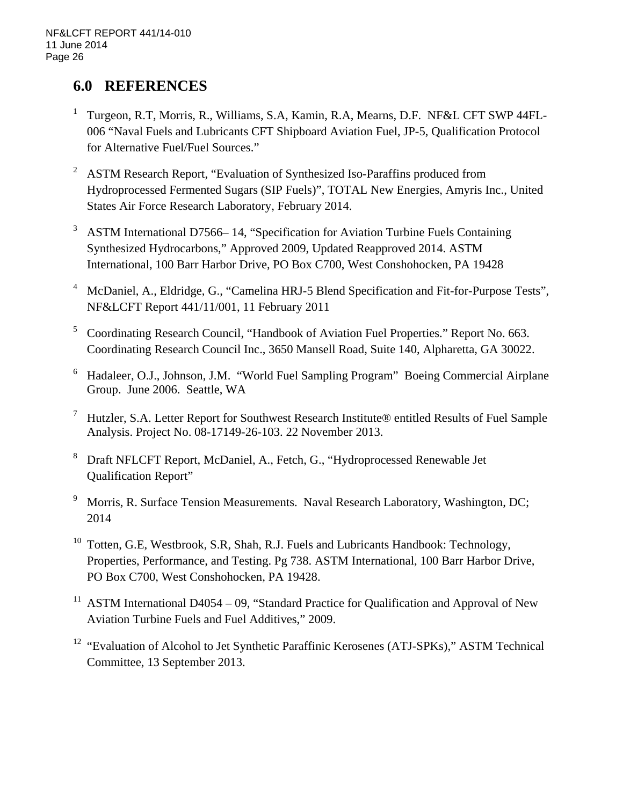## **6.0 REFERENCES**

- 1 Turgeon, R.T, Morris, R., Williams, S.A, Kamin, R.A, Mearns, D.F. NF&L CFT SWP 44FL-006 "Naval Fuels and Lubricants CFT Shipboard Aviation Fuel, JP-5, Qualification Protocol for Alternative Fuel/Fuel Sources."
- <sup>2</sup> ASTM Research Report, "Evaluation of Synthesized Iso-Paraffins produced from Hydroprocessed Fermented Sugars (SIP Fuels)", TOTAL New Energies, Amyris Inc., United States Air Force Research Laboratory, February 2014.
- <sup>3</sup> ASTM International D7566–14, "Specification for Aviation Turbine Fuels Containing Synthesized Hydrocarbons," Approved 2009, Updated Reapproved 2014. ASTM International, 100 Barr Harbor Drive, PO Box C700, West Conshohocken, PA 19428
- <sup>4</sup> McDaniel, A., Eldridge, G., "Camelina HRJ-5 Blend Specification and Fit-for-Purpose Tests", NF&LCFT Report 441/11/001, 11 February 2011
- <sup>5</sup> Coordinating Research Council, "Handbook of Aviation Fuel Properties." Report No. 663. Coordinating Research Council Inc., 3650 Mansell Road, Suite 140, Alpharetta, GA 30022.
- <sup>6</sup> Hadaleer, O.J., Johnson, J.M. "World Fuel Sampling Program" Boeing Commercial Airplane Group. June 2006. Seattle, WA
- <sup>7</sup> Hutzler, S.A. Letter Report for Southwest Research Institute® entitled Results of Fuel Sample Analysis. Project No. 08-17149-26-103. 22 November 2013.
- <sup>8</sup> Draft NFLCFT Report, McDaniel, A., Fetch, G., "Hydroprocessed Renewable Jet Qualification Report"
- 9 Morris, R. Surface Tension Measurements. Naval Research Laboratory, Washington, DC; 2014
- $10$  Totten, G.E, Westbrook, S.R, Shah, R.J. Fuels and Lubricants Handbook: Technology, Properties, Performance, and Testing. Pg 738. ASTM International, 100 Barr Harbor Drive, PO Box C700, West Conshohocken, PA 19428.
- <sup>11</sup> ASTM International D4054 09, "Standard Practice for Qualification and Approval of New Aviation Turbine Fuels and Fuel Additives," 2009.
- <sup>12</sup> "Evaluation of Alcohol to Jet Synthetic Paraffinic Kerosenes (ATJ-SPKs)," ASTM Technical Committee, 13 September 2013.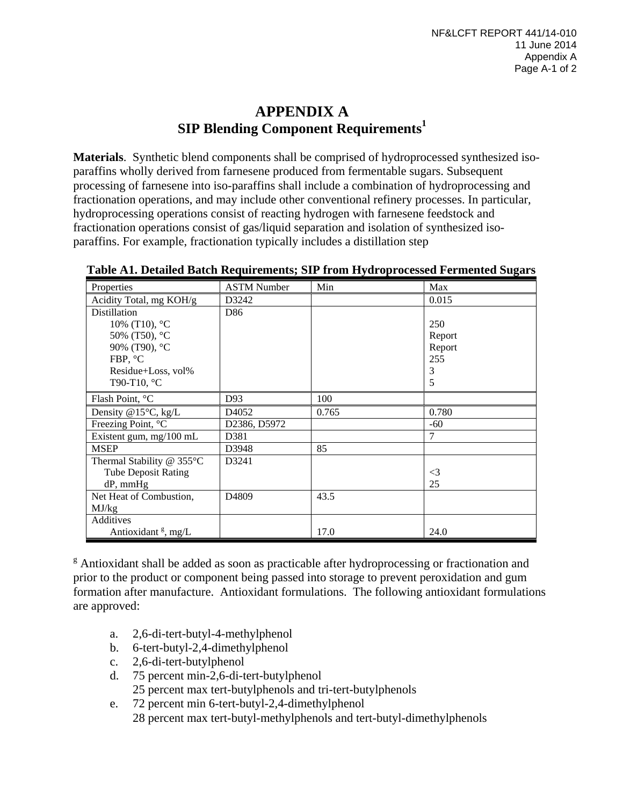## **APPENDIX A SIP Blending Component Requirements<sup>1</sup>**

**Materials**. Synthetic blend components shall be comprised of hydroprocessed synthesized isoparaffins wholly derived from farnesene produced from fermentable sugars. Subsequent processing of farnesene into iso-paraffins shall include a combination of hydroprocessing and fractionation operations, and may include other conventional refinery processes. In particular, hydroprocessing operations consist of reacting hydrogen with farnesene feedstock and fractionation operations consist of gas/liquid separation and isolation of synthesized isoparaffins. For example, fractionation typically includes a distillation step

| Properties                       | <b>ASTM Number</b> | Min   | Max      |
|----------------------------------|--------------------|-------|----------|
| Acidity Total, mg KOH/g          | D3242              |       | 0.015    |
| Distillation                     | D <sub>86</sub>    |       |          |
| 10% (T10), $^{\circ}$ C          |                    |       | 250      |
| 50% (T50), °C                    |                    |       | Report   |
| 90% (T90), °C                    |                    |       | Report   |
| FBP, $\degree$ C                 |                    |       | 255      |
| Residue+Loss, vol%               |                    |       | 3        |
| T90-T10, °C                      |                    |       | 5        |
| Flash Point, °C                  | D93                | 100   |          |
| Density @15°C, kg/L              | D <sub>4052</sub>  | 0.765 | 0.780    |
| Freezing Point, °C               | D2386, D5972       |       | $-60$    |
| Existent gum, mg/100 mL          | D381               |       | 7        |
| <b>MSEP</b>                      | D3948              | 85    |          |
| Thermal Stability $@355°C$       | D3241              |       |          |
| <b>Tube Deposit Rating</b>       |                    |       | $\leq$ 3 |
| $dP$ , mmHg                      |                    |       | 25       |
| Net Heat of Combustion,          | D4809              | 43.5  |          |
| MJ/kg                            |                    |       |          |
| Additives                        |                    |       |          |
| Antioxidant $\frac{g}{m}$ , mg/L |                    | 17.0  | 24.0     |

**Table A1. Detailed Batch Requirements; SIP from Hydroprocessed Fermented Sugars**

<sup>g</sup> Antioxidant shall be added as soon as practicable after hydroprocessing or fractionation and prior to the product or component being passed into storage to prevent peroxidation and gum formation after manufacture. Antioxidant formulations. The following antioxidant formulations are approved:

- a. 2,6-di-tert-butyl-4-methylphenol
- b. 6-tert-butyl-2,4-dimethylphenol
- c. 2,6-di-tert-butylphenol
- d. 75 percent min-2,6-di-tert-butylphenol 25 percent max tert-butylphenols and tri-tert-butylphenols
- e. 72 percent min 6-tert-butyl-2,4-dimethylphenol 28 percent max tert-butyl-methylphenols and tert-butyl-dimethylphenols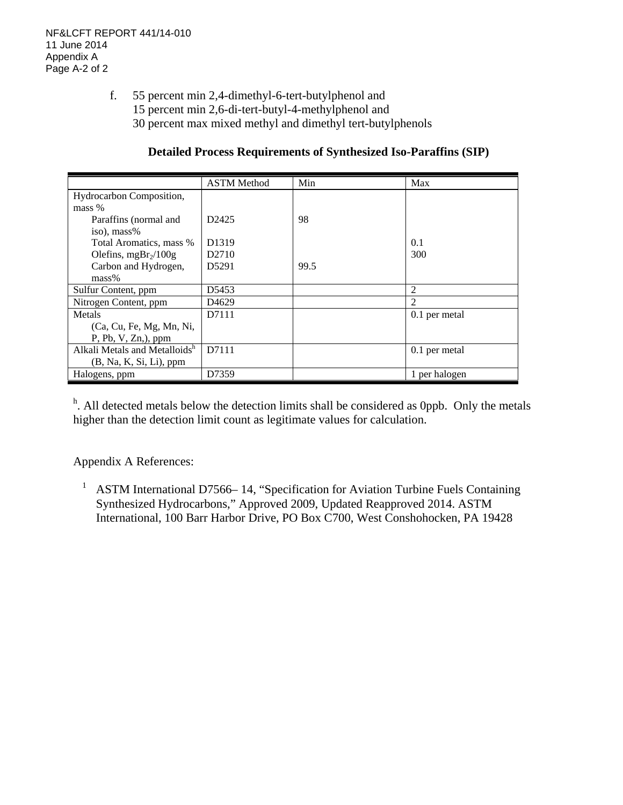f. 55 percent min 2,4-dimethyl-6-tert-butylphenol and 15 percent min 2,6-di-tert-butyl-4-methylphenol and 30 percent max mixed methyl and dimethyl tert-butylphenols

|                                           | <b>ASTM Method</b> | Min  | Max           |
|-------------------------------------------|--------------------|------|---------------|
| Hydrocarbon Composition,                  |                    |      |               |
| $mass\%$                                  |                    |      |               |
| Paraffins (normal and                     | D <sub>2425</sub>  | 98   |               |
| iso), mass%                               |                    |      |               |
| Total Aromatics, mass %                   | D1319              |      | 0.1           |
| Olefins, $mgBr2/100g$                     | D <sub>2710</sub>  |      | 300           |
| Carbon and Hydrogen,                      | D <sub>5291</sub>  | 99.5 |               |
| $mass\%$                                  |                    |      |               |
| Sulfur Content, ppm                       | D <sub>5453</sub>  |      | 2             |
| Nitrogen Content, ppm                     | D4629              |      | 2             |
| Metals                                    | D7111              |      | 0.1 per metal |
| (Ca, Cu, Fe, Mg, Mn, Ni,                  |                    |      |               |
| $P, Pb, V, Zn$ , ppm                      |                    |      |               |
| Alkali Metals and Metalloids <sup>h</sup> | D7111              |      | 0.1 per metal |
| $(B, Na, K, Si, Li)$ , ppm                |                    |      |               |
| Halogens, ppm                             | D7359              |      | 1 per halogen |

#### **Detailed Process Requirements of Synthesized Iso-Paraffins (SIP)**

<sup>h</sup>. All detected metals below the detection limits shall be considered as 0ppb. Only the metals higher than the detection limit count as legitimate values for calculation.

Appendix A References:

<sup>1</sup> ASTM International D7566–14, "Specification for Aviation Turbine Fuels Containing Synthesized Hydrocarbons," Approved 2009, Updated Reapproved 2014. ASTM International, 100 Barr Harbor Drive, PO Box C700, West Conshohocken, PA 19428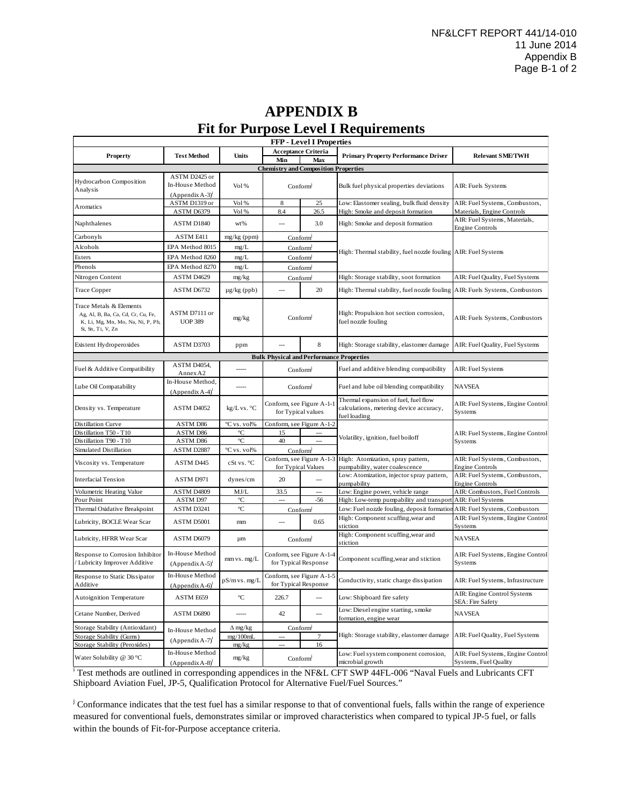## **APPENDIX B Fit for Purpose Level I Requirements**

| <b>FFP</b> - Level I Properties                                                                                         |                                                                     |                                     |                                                                  |                                   |                                                                                                 |                                                              |  |  |
|-------------------------------------------------------------------------------------------------------------------------|---------------------------------------------------------------------|-------------------------------------|------------------------------------------------------------------|-----------------------------------|-------------------------------------------------------------------------------------------------|--------------------------------------------------------------|--|--|
| <b>Property</b>                                                                                                         | <b>Test Method</b>                                                  | Units                               | Min                                                              | <b>Acceptance Criteria</b><br>Max | Primary Property Performance Driver                                                             | <b>Relevant SME/TWH</b>                                      |  |  |
| <b>Chemistry and Composition Properties</b>                                                                             |                                                                     |                                     |                                                                  |                                   |                                                                                                 |                                                              |  |  |
| Hydrocarbon Composition<br>Analysis                                                                                     | ASTM D2425 or<br>In-House Method<br>$(A$ ppendix $A-3$ <sup>1</sup> | Vol %                               | Conform <sup>j</sup><br>Bulk fuel physical properties deviations |                                   | AIR: Fuels Systems                                                                              |                                                              |  |  |
| Aromatics                                                                                                               | ASTM D1319 or<br>ASTM D6379                                         | Vol %<br>Vol %                      | 8<br>8.4                                                         | 25<br>26.5                        | Low: Elastomer sealing, bulk fluid density<br>High: Smoke and deposit formation                 | AIR: Fuel Systems, Combustors,<br>Materials, Engine Controls |  |  |
| Naphthalenes                                                                                                            | ASTM D1840                                                          | wt%                                 | $\overline{a}$                                                   | 3.0                               | High: Smoke and deposit formation                                                               | AIR: Fuel Systems, Materials,<br><b>Engine Controls</b>      |  |  |
| Carbonyls                                                                                                               | ASTM E411                                                           | mg/kg (ppm)                         |                                                                  | Conform                           |                                                                                                 |                                                              |  |  |
| Alcohols                                                                                                                | EPA Method 8015                                                     | mg/L                                | Conform<br>Conform                                               |                                   |                                                                                                 |                                                              |  |  |
| Esters                                                                                                                  | EPA Method 8260                                                     | mg/L                                |                                                                  |                                   | High: Thermal stability, fuel nozzle fouling AIR: Fuel Systems                                  |                                                              |  |  |
| Phenols                                                                                                                 | EPA Method 8270                                                     | mg/L                                |                                                                  | Conform                           |                                                                                                 |                                                              |  |  |
| Nitrogen Content                                                                                                        | ASTM D4629                                                          | mg/kg                               | Conform                                                          |                                   | High: Storage stability, soot formation                                                         | AIR: Fuel Quality, Fuel Systems                              |  |  |
| <b>Trace Copper</b>                                                                                                     | ASTM D6732                                                          | $\mu$ g/kg (ppb)                    | $\overline{a}$                                                   | 20                                | High: Thermal stability, fuel nozzle fouling                                                    | AIR: Fuels Systems, Combustors                               |  |  |
| Trace Metals & Elements<br>Ag, Al, B, Ba, Ca, Cd, Cr, Cu, Fe,<br>K, Li, Mg, Mn, Mo, Na, Ni, P, Pb,<br>Si, Sn, Ti, V, Zn | ASTM D7111 or<br><b>UOP 389</b>                                     | mg/kg                               | Conform                                                          |                                   | High: Propulsion hot section corrosion,<br>fuel nozzle fouling                                  | AIR: Fuels Systems, Combustors                               |  |  |
| Existent Hydroperoxides                                                                                                 | ASTM D3703                                                          | ppm                                 |                                                                  | 8                                 | High: Storage stability, elastomer damage                                                       | AIR: Fuel Quality, Fuel Systems                              |  |  |
|                                                                                                                         |                                                                     |                                     | <b>Bulk Physical and Performance Properties</b>                  |                                   |                                                                                                 |                                                              |  |  |
| Fuel & Additive Compatibility                                                                                           | ASTM D4054,<br>Annex A2                                             | $\frac{1}{2}$                       | Conform                                                          |                                   | Fuel and additive blending compatibility                                                        | AIR: Fuel Systems                                            |  |  |
| Lube Oil Compatability                                                                                                  | In-House Method,<br>$(A$ ppendix $A-4$ <sup>1</sup>                 |                                     | Conform                                                          |                                   | Fuel and lube oil blending compatibility                                                        | <b>NAVSEA</b>                                                |  |  |
| Density vs. Temperature                                                                                                 | ASTM D4052                                                          | kg/L vs. °C                         | Conform, see Figure A-1-1<br>for Typical values                  |                                   | Thermal expansion of fuel, fuel flow<br>calculations, metering device accuracy,<br>fuel loading | AIR: Fuel Systems, Engine Control<br>Systems                 |  |  |
| <b>Distillation Curve</b>                                                                                               | ASTM D86                                                            | °C vs. vol%                         | Conform, see Figure A-1-2                                        |                                   |                                                                                                 |                                                              |  |  |
| Distillation T50 - T10                                                                                                  | ASTM D86                                                            | °C                                  | 15                                                               |                                   | Volatility, ignition, fuel boiloff                                                              | AIR: Fuel Systems, Engine Control                            |  |  |
| Distillation T90 - T10                                                                                                  | ASTM D86                                                            | °C                                  | 40                                                               |                                   |                                                                                                 | Systems                                                      |  |  |
| Simulated Distillation                                                                                                  | ASTM D2887                                                          | °C vs. vol%                         | Conform<br>Conform, see Figure A-1-3                             |                                   |                                                                                                 |                                                              |  |  |
| Viscosity vs. Temperature                                                                                               | ASTM D445                                                           | cSt vs. °C                          |                                                                  | for Typical Values                | High: Atomization, spray pattern,<br>pumpability, water coalescence                             | AIR: Fuel Systems, Combustors,<br><b>Engine Controls</b>     |  |  |
| <b>Interfacial Tension</b>                                                                                              | ASTM D971                                                           | dynes/cm                            | 20                                                               | $\overline{a}$                    | Low: Atomization, injector spray pattern,<br>pumpability                                        | AIR: Fuel Systems, Combustors,<br><b>Engine Controls</b>     |  |  |
| Volumetric Heating Value                                                                                                | ASTM D4809                                                          | MJ/L                                | 33.5                                                             | ---                               | Low: Engine power, vehicle range                                                                | AIR: Combustors, Fuel Controls                               |  |  |
| Pour Point                                                                                                              | ASTM D97                                                            | °C                                  |                                                                  | $-56$                             | High: Low-temp pumpability and transport                                                        | AIR: Fuel Systems                                            |  |  |
| Thermal Oxidative Breakpoint                                                                                            | ASTM D3241                                                          | °C                                  |                                                                  | Conform                           | Low: Fuel nozzle fouling, deposit formation                                                     | AIR: Fuel Systems, Combustors                                |  |  |
| Lubricity, BOCLE Wear Scar                                                                                              | ASTM D5001                                                          | $\rm mm$                            | ---                                                              | 0.65                              | High: Component scuffing, wear and<br>stiction                                                  | AIR: Fuel Systems, Engine Control<br>Systems                 |  |  |
| Lubricity, HFRR Wear Scar                                                                                               | ASTM D6079                                                          | µm                                  | Conform                                                          |                                   | High: Component scuffing, wear and<br>stiction                                                  | <b>NAVSEA</b>                                                |  |  |
| Response to Corrosion Inhibitor<br>Lubricity Improver Additive                                                          | In-House Method<br>$(A$ ppendix $A-5$ <sup>1</sup>                  | mm vs. mg/L                         | Conform, see Figure A-1-4<br>for Typical Response                |                                   | Component scuffing, wear and stiction                                                           | AIR: Fuel Systems, Engine Control<br>Systems                 |  |  |
| Response to Static Dissipator<br>Additive                                                                               | In-House Method<br>$(A$ ppendix $A-6$ <sup>1</sup>                  | pS/mvs. mg/L                        | Conform, see Figure A-1-5<br>for Typical Response                |                                   | Conductivity, static charge dissipation                                                         | AIR: Fuel Systems, Infrastructure                            |  |  |
| <b>Autoignition Temperature</b>                                                                                         | ASTM E659                                                           | °C                                  | 226.7                                                            |                                   | Low: Shipboard fire safety                                                                      | AIR: Engine Control Systems<br>SEA: Fire Safety              |  |  |
| Cetane Number, Derived                                                                                                  | ASTM D6890                                                          | -----                               | 42                                                               | ---                               | Low: Diesel engine starting, smoke<br>formation, engine wear                                    | <b>NAVSEA</b>                                                |  |  |
| Storage Stability (Antioxidant)<br>Storage Stability (Gums)<br>Storage Stability (Peroxides)                            | In-House Method<br>$(A$ ppendix A-7) <sup>1</sup>                   | $\Delta$ mg/kg<br>mg/100mL<br>mg/kg | $\overline{\phantom{a}}$                                         | Conform<br>$\tau$                 | High: Storage stability, elastomer damage                                                       | AIR: Fuel Quality, Fuel Systems                              |  |  |
| Water Solubility @ 30 °C                                                                                                | In-House Method<br>$(A$ ppendix A-8) <sup>i</sup>                   | mg/kg                               | 16<br>Conform                                                    |                                   | Low: Fuel system component corrosion,<br>microbial growth                                       | AIR: Fuel Systems, Engine Control<br>Systems, Fuel Quality   |  |  |

i Test methods are outlined in corresponding appendices in the NF&L CFT SWP 44FL-006 "Naval Fuels and Lubricants CFT Shipboard Aviation Fuel, JP-5, Qualification Protocol for Alternative Fuel/Fuel Sources."

<sup>j</sup> Conformance indicates that the test fuel has a similar response to that of conventional fuels, falls within the range of experience measured for conventional fuels, demonstrates similar or improved characteristics when compared to typical JP-5 fuel, or falls within the bounds of Fit-for-Purpose acceptance criteria.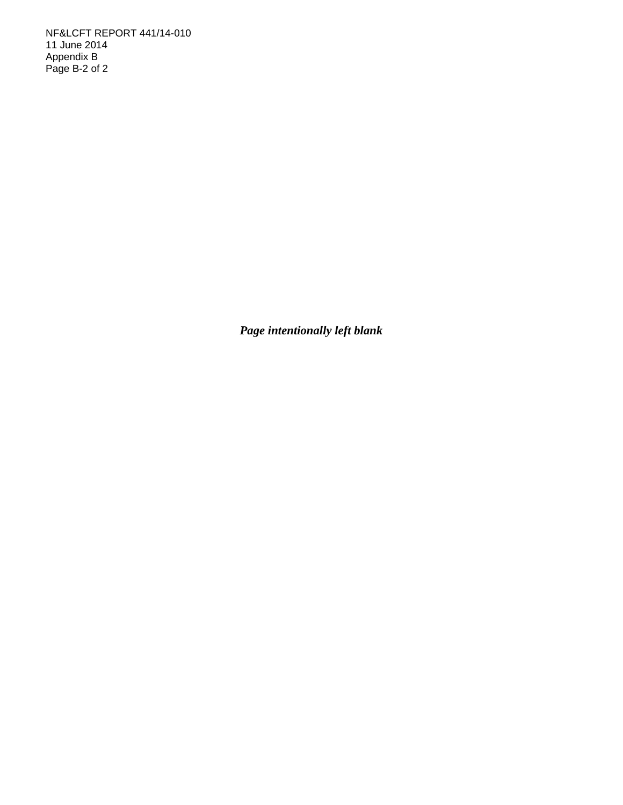NF&LCFT REPORT 441/14-010 11 June 2014 Appendix B Page B-2 of 2

*Page intentionally left blank*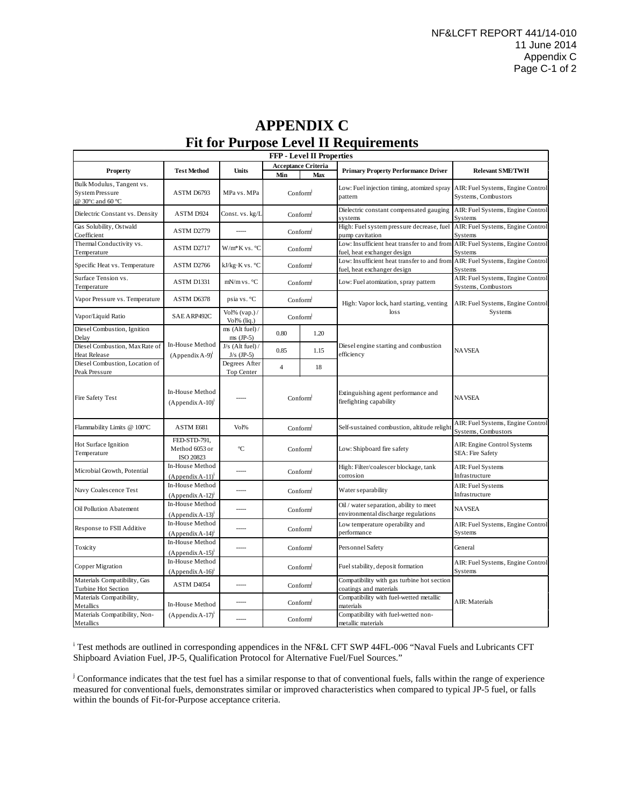## **APPENDIX C Fit for Purpose Level II Requirements**

| FFP - Level II Properties                                        |                                                     |                                   |                |                                   |                                                                                                              |                                                          |  |  |
|------------------------------------------------------------------|-----------------------------------------------------|-----------------------------------|----------------|-----------------------------------|--------------------------------------------------------------------------------------------------------------|----------------------------------------------------------|--|--|
| <b>Property</b>                                                  | <b>Test Method</b>                                  | <b>Units</b>                      | Min            | <b>Acceptance Criteria</b><br>Max | <b>Primary Property Performance Driver</b>                                                                   | <b>Relevant SME/TWH</b>                                  |  |  |
| Bulk Modulus, Tangent vs.<br>System Pressure<br>@ 30°C and 60 °C | ASTM D6793                                          | MPa vs. MPa                       | Conform        |                                   | Low: Fuel injection timing, atomized spray<br>pattern                                                        | AIR: Fuel Systems, Engine Control<br>Systems, Combustors |  |  |
| Dielectric Constant vs. Density                                  | ASTM D924                                           | Const. vs. kg/L                   | Conform        |                                   | Dielectric constant compensated gauging<br>systems                                                           | AIR: Fuel Systems, Engine Control<br>Systems             |  |  |
| Gas Solubility, Ostwald<br>Coefficient                           | ASTM D2779                                          |                                   | Conform        |                                   | High: Fuel system pressure decrease, fuel<br>pump cavitation                                                 | AIR: Fuel Systems, Engine Control<br>Systems             |  |  |
| Thermal Conductivity vs.<br>Temperature                          | ASTM D2717                                          | $W/m*K$ vs. $°C$                  | Conform        |                                   | Low: Insufficient heat transfer to and from<br>fuel, heat exchanger design                                   | AIR: Fuel Systems, Engine Control<br>Systems             |  |  |
| Specific Heat vs. Temperature                                    | ASTM D2766                                          | kJ/kg·K vs. °C                    | Conform        |                                   | Low: Insufficient heat transfer to and from AIR: Fuel Systems, Engine Control<br>fuel, heat exchanger design | Systems                                                  |  |  |
| Surface Tension vs.<br>Temperature                               | ASTM D1331                                          | mN/m vs. °C                       | Conform        |                                   | Low: Fuel atomization, spray pattern                                                                         | AIR: Fuel Systems, Engine Control<br>Systems, Combustors |  |  |
| Vapor Pressure vs. Temperature                                   | ASTM D6378                                          | psia vs. °C                       | Conform        |                                   | High: Vapor lock, hard starting, venting                                                                     | AIR: Fuel Systems, Engine Control                        |  |  |
| Vapor/Liquid Ratio                                               | SAE ARP492C                                         | Vol% (vap.)/<br>$Vol\%$ (liq.)    |                | Conform                           | loss                                                                                                         | Systems                                                  |  |  |
| Diesel Combustion, Ignition<br>Delay                             |                                                     | $ms$ (Alt fuel) /<br>$ms$ (JP-5)  | 0.80           | 1.20                              |                                                                                                              |                                                          |  |  |
| Diesel Combustion, Max Rate of<br>Heat Release                   | In-House Method<br>$(A$ ppendix $A-9$ <sup>1</sup>  | $J/s$ (Alt fuel)/<br>$J/s$ (JP-5) | 0.85           | 1.15                              | Diesel engine starting and combustion<br>efficiency                                                          | <b>NAVSEA</b>                                            |  |  |
| Diesel Combustion, Location of<br>Peak Pressure                  |                                                     | Degrees After<br>Top Center       | $\overline{4}$ | 18                                |                                                                                                              |                                                          |  |  |
| <b>Fire Safety Test</b>                                          | In-House Method<br>$(A$ ppendix $A-10$ <sup>1</sup> |                                   | Conform        |                                   | Extinguishing agent performance and<br>firefighting capability                                               | <b>NAVSEA</b>                                            |  |  |
| Flammability Limits @ 100°C                                      | ASTM E681                                           | Vol%                              | Conform        |                                   | Self-sustained combustion, altitude relight                                                                  | AIR: Fuel Systems, Engine Control<br>Systems, Combustors |  |  |
| Hot Surface Ignition<br>Temperature                              | FED-STD-791,<br>Method 6053 or<br>ISO 20823         | °C                                | Conform        |                                   | Low: Shipboard fire safety                                                                                   | AIR: Engine Control Systems<br><b>SEA</b> : Fire Safety  |  |  |
| Microbial Growth, Potential                                      | In-House Method<br>$(A$ ppendix $A-11$ <sup>1</sup> | -----                             | Conform        |                                   | High: Filter/coalescer blockage, tank<br>corrosion                                                           | AIR: Fuel Systems<br>Infrastructure                      |  |  |
| Navy Coalescence Test                                            | In-House Method<br>$(A$ ppendix $A-12$ <sup>t</sup> | -----                             | Conform        |                                   | Water separability                                                                                           | AIR: Fuel Systems<br>Infrastructure                      |  |  |
| Oil Pollution Abatement                                          | In-House Method<br>$(A$ ppendix $A-13$ <sup>1</sup> | $1 - 1 - 1$                       | Conform        |                                   | Oil / water separation, ability to meet<br>environmental discharge regulations                               | <b>NAVSEA</b>                                            |  |  |
| Response to FSII Additive                                        | In-House Method<br>$(A$ ppendix $A-14$ <sup>1</sup> | -----                             | Conform        |                                   | Low temperature operability and<br>performance                                                               | AIR: Fuel Systems, Engine Control<br>Systems             |  |  |
| Toxicity                                                         | In-House Method<br>$(A$ ppendix $A-15$ <sup>i</sup> | $1 - 1 - 1$                       | Conform        |                                   | Personnel Safety                                                                                             | General                                                  |  |  |
| Copper Migration                                                 | In-House Method<br>$(A$ ppendix $A-16$ <sup>t</sup> |                                   | Conform        |                                   | Fuel stability, deposit formation                                                                            | AIR: Fuel Systems, Engine Control<br>Systems             |  |  |
| Materials Compatibility, Gas<br>Turbine Hot Section              | ASTM D4054                                          | -----                             | Conform        |                                   | Compatibility with gas turbine hot section<br>coatings and materials                                         |                                                          |  |  |
| Materials Compatibility,<br>Metallics                            | In-House Method                                     | -----                             |                | Conform                           | Compatibility with fuel-wetted metallic<br>materials                                                         | AIR: Materials                                           |  |  |
| Materials Compatibility, Non-<br>Metallics                       | $(A$ ppendix $A-17)^1$                              | -----                             | Conform        |                                   | Compatibility with fuel-wetted non-<br>metallic materials                                                    |                                                          |  |  |

i Test methods are outlined in corresponding appendices in the NF&L CFT SWP 44FL-006 "Naval Fuels and Lubricants CFT Shipboard Aviation Fuel, JP-5, Qualification Protocol for Alternative Fuel/Fuel Sources."

<sup>j</sup> Conformance indicates that the test fuel has a similar response to that of conventional fuels, falls within the range of experience measured for conventional fuels, demonstrates similar or improved characteristics when compared to typical JP-5 fuel, or falls within the bounds of Fit-for-Purpose acceptance criteria.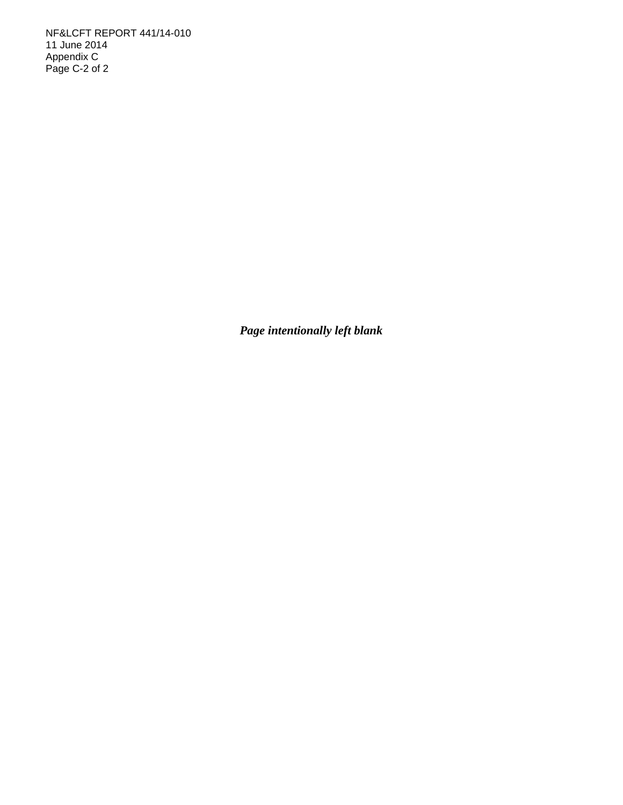NF&LCFT REPORT 441/14-010 11 June 2014 Appendix C Page C-2 of 2

*Page intentionally left blank*